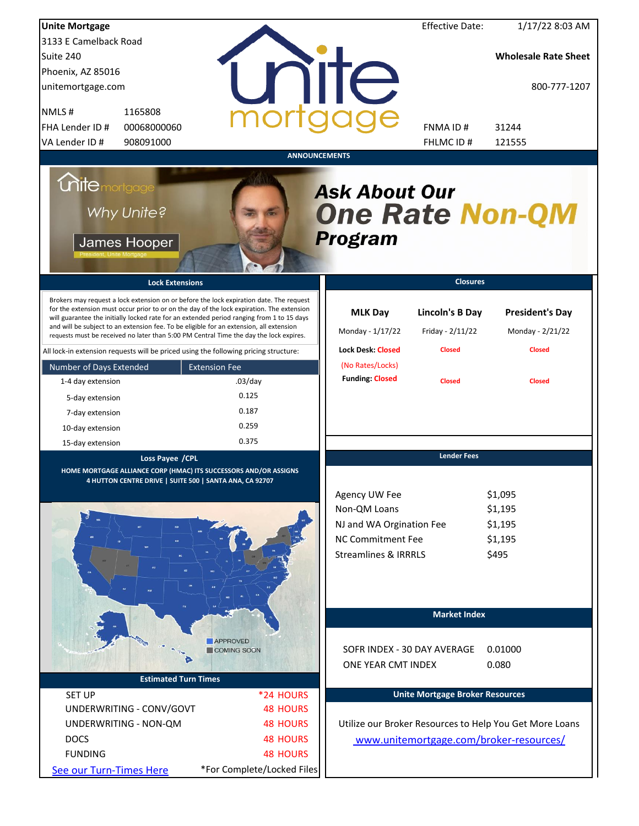| <b>Unite Mortgage</b>   |                                                                                  |                                                                                                                                                                                                                                                                                                                                                                                                                                                                        |                                                                                                                          | <b>Effective Date:</b>                     | 1/17/22 8:03 AM                                         |
|-------------------------|----------------------------------------------------------------------------------|------------------------------------------------------------------------------------------------------------------------------------------------------------------------------------------------------------------------------------------------------------------------------------------------------------------------------------------------------------------------------------------------------------------------------------------------------------------------|--------------------------------------------------------------------------------------------------------------------------|--------------------------------------------|---------------------------------------------------------|
| 3133 E Camelback Road   |                                                                                  |                                                                                                                                                                                                                                                                                                                                                                                                                                                                        |                                                                                                                          |                                            |                                                         |
| Suite 240               |                                                                                  |                                                                                                                                                                                                                                                                                                                                                                                                                                                                        |                                                                                                                          |                                            | <b>Wholesale Rate Sheet</b>                             |
| Phoenix, AZ 85016       |                                                                                  |                                                                                                                                                                                                                                                                                                                                                                                                                                                                        |                                                                                                                          |                                            |                                                         |
| unitemortgage.com       |                                                                                  |                                                                                                                                                                                                                                                                                                                                                                                                                                                                        | <b>TITE</b>                                                                                                              |                                            | 800-777-1207                                            |
| NMLS#                   | 1165808                                                                          |                                                                                                                                                                                                                                                                                                                                                                                                                                                                        |                                                                                                                          |                                            |                                                         |
| FHA Lender ID #         | 00068000060                                                                      |                                                                                                                                                                                                                                                                                                                                                                                                                                                                        |                                                                                                                          | FNMA ID#                                   | 31244                                                   |
| VA Lender ID #          | 908091000                                                                        |                                                                                                                                                                                                                                                                                                                                                                                                                                                                        |                                                                                                                          | FHLMC ID #                                 | 121555                                                  |
|                         |                                                                                  |                                                                                                                                                                                                                                                                                                                                                                                                                                                                        | <b>ANNOUNCEMENTS</b>                                                                                                     |                                            |                                                         |
| <b>Chite</b> mortgage   | Why Unite?<br>James Hooper                                                       |                                                                                                                                                                                                                                                                                                                                                                                                                                                                        | <b>Ask About Our</b><br><b>One Rate Non-QM</b><br>Program                                                                |                                            |                                                         |
|                         | <b>Lock Extensions</b>                                                           |                                                                                                                                                                                                                                                                                                                                                                                                                                                                        |                                                                                                                          | <b>Closures</b>                            |                                                         |
|                         |                                                                                  | Brokers may request a lock extension on or before the lock expiration date. The request<br>for the extension must occur prior to or on the day of the lock expiration. The extension<br>will guarantee the initially locked rate for an extended period ranging from 1 to 15 days<br>and will be subject to an extension fee. To be eligible for an extension, all extension<br>requests must be received no later than 5:00 PM Central Time the day the lock expires. | <b>MLK Day</b><br>Monday - 1/17/22                                                                                       | <b>Lincoln's B Day</b><br>Friday - 2/11/22 | <b>President's Day</b><br>Monday - 2/21/22              |
|                         |                                                                                  | All lock-in extension requests will be priced using the following pricing structure:                                                                                                                                                                                                                                                                                                                                                                                   | <b>Lock Desk: Closed</b>                                                                                                 | <b>Closed</b>                              | <b>Closed</b>                                           |
| Number of Days Extended |                                                                                  | <b>Extension Fee</b>                                                                                                                                                                                                                                                                                                                                                                                                                                                   | (No Rates/Locks)                                                                                                         |                                            |                                                         |
| 1-4 day extension       |                                                                                  | $.03$ /day                                                                                                                                                                                                                                                                                                                                                                                                                                                             | <b>Funding: Closed</b>                                                                                                   | <b>Closed</b>                              | <b>Closed</b>                                           |
| 5-day extension         |                                                                                  | 0.125                                                                                                                                                                                                                                                                                                                                                                                                                                                                  |                                                                                                                          |                                            |                                                         |
| 7-day extension         |                                                                                  | 0.187                                                                                                                                                                                                                                                                                                                                                                                                                                                                  |                                                                                                                          |                                            |                                                         |
| 10-day extension        |                                                                                  | 0.259                                                                                                                                                                                                                                                                                                                                                                                                                                                                  |                                                                                                                          |                                            |                                                         |
| 15-day extension        |                                                                                  | 0.375                                                                                                                                                                                                                                                                                                                                                                                                                                                                  |                                                                                                                          |                                            |                                                         |
|                         | Loss Payee /CPL<br>4 HUTTON CENTRE DRIVE   SUITE 500   SANTA ANA, CA 92707<br>śo | HOME MORTGAGE ALLIANCE CORP (HMAC) ITS SUCCESSORS AND/OR ASSIGNS                                                                                                                                                                                                                                                                                                                                                                                                       | Agency UW Fee<br>Non-QM Loans<br>NJ and WA Orgination Fee<br><b>NC Commitment Fee</b><br><b>Streamlines &amp; IRRRLS</b> | <b>Lender Fees</b>                         | \$1,095<br>\$1,195<br>\$1,195<br>\$1,195<br>\$495       |
|                         |                                                                                  | <b>APPROVED</b>                                                                                                                                                                                                                                                                                                                                                                                                                                                        |                                                                                                                          | <b>Market Index</b>                        |                                                         |
|                         |                                                                                  | COMING SOON                                                                                                                                                                                                                                                                                                                                                                                                                                                            |                                                                                                                          | SOFR INDEX - 30 DAY AVERAGE                | 0.01000                                                 |
|                         |                                                                                  |                                                                                                                                                                                                                                                                                                                                                                                                                                                                        | ONE YEAR CMT INDEX                                                                                                       |                                            | 0.080                                                   |
|                         | <b>Estimated Turn Times</b>                                                      |                                                                                                                                                                                                                                                                                                                                                                                                                                                                        |                                                                                                                          |                                            |                                                         |
| <b>SET UP</b>           |                                                                                  | *24 HOURS                                                                                                                                                                                                                                                                                                                                                                                                                                                              |                                                                                                                          | <b>Unite Mortgage Broker Resources</b>     |                                                         |
|                         | UNDERWRITING - CONV/GOVT                                                         | <b>48 HOURS</b>                                                                                                                                                                                                                                                                                                                                                                                                                                                        |                                                                                                                          |                                            |                                                         |
|                         | UNDERWRITING - NON-QM                                                            | <b>48 HOURS</b>                                                                                                                                                                                                                                                                                                                                                                                                                                                        |                                                                                                                          |                                            | Utilize our Broker Resources to Help You Get More Loans |
| <b>DOCS</b>             |                                                                                  | <b>48 HOURS</b>                                                                                                                                                                                                                                                                                                                                                                                                                                                        |                                                                                                                          |                                            | www.unitemortgage.com/broker-resources/                 |
| <b>FUNDING</b>          |                                                                                  | <b>48 HOURS</b>                                                                                                                                                                                                                                                                                                                                                                                                                                                        |                                                                                                                          |                                            |                                                         |
| See our Turn-Times Here |                                                                                  | *For Complete/Locked Files                                                                                                                                                                                                                                                                                                                                                                                                                                             |                                                                                                                          |                                            |                                                         |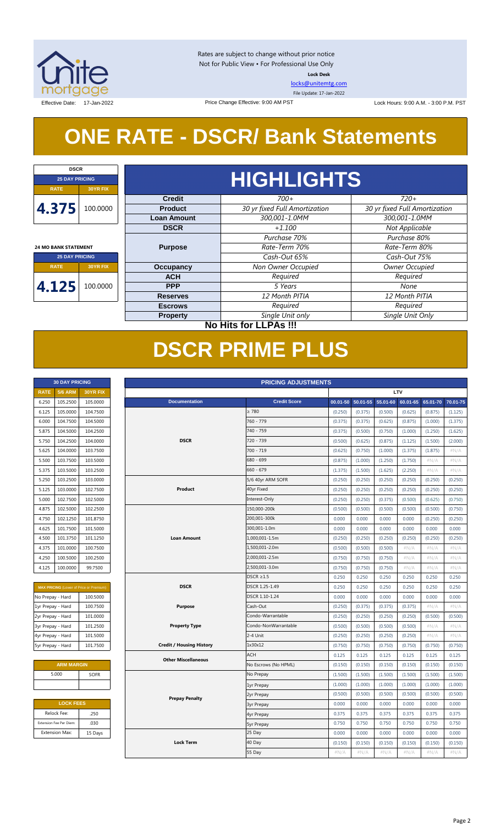

Rates are subject to change without prior notice Not for Public View • For Professional Use Only **Lock Desk**

[locks@unitemtg.com](mailto:locks@unitemtg.com)

File Update: 17-Jan-2022

Effective Date: 17-Jan-2022 Lock Hours: 9:00 A.M. - 3:00 P.M. PST Price Change Effective: 9:00 AM PST

# **ONE RATE - DSCR/ Bank Statements**

| <b>DSCR</b>                 |                 |  |  |  |
|-----------------------------|-----------------|--|--|--|
| <b>25 DAY PRICING</b>       |                 |  |  |  |
| <b>RATE</b>                 | <b>30YR FIX</b> |  |  |  |
| 4.375                       | 100.0000        |  |  |  |
| <b>24 MO BANK STATEMENT</b> |                 |  |  |  |
| <b>25 DAY PRICING</b>       |                 |  |  |  |
| 30YR FIX<br><b>RATE</b>     |                 |  |  |  |

**4.125** 100.0000

# **HIGHLIGHTS**

| <b>Credit</b>      | $700+$                        | $720+$                        |
|--------------------|-------------------------------|-------------------------------|
| <b>Product</b>     | 30 yr fixed Full Amortization | 30 yr fixed Full Amortization |
| <b>Loan Amount</b> | 300,001-1.0MM                 | 300,001-1.0MM                 |
| <b>DSCR</b>        | $+1.100$                      | Not Applicable                |
|                    | Purchase 70%                  | Purchase 80%                  |
| <b>Purpose</b>     | Rate-Term 70%                 | Rate-Term 80%                 |
|                    | Cash-Out 65%                  | Cash-Out 75%                  |
| <b>Occupancy</b>   | Non Owner Occupied            | Owner Occupied                |
| <b>ACH</b>         | Required                      | Required                      |
| <b>PPP</b>         | 5 Years                       | None                          |
| <b>Reserves</b>    | 12 Month PITIA                | 12 Month PITIA                |
| <b>Escrows</b>     | Required                      | Required                      |
| <b>Property</b>    | Single Unit only              | Single Unit Only              |

## **No Hits for LLPAs !!!**

# **DSCR PRIME PLUS**

|                   | <b>30 DAY PRICING</b>   |                                                | <b>PRICING ADJUSTMENTS</b> |                                 |                      |              |              |          |          |          |          |
|-------------------|-------------------------|------------------------------------------------|----------------------------|---------------------------------|----------------------|--------------|--------------|----------|----------|----------|----------|
| <b>RATE</b>       | <b>5/6 ARM</b>          | 30YR FIX                                       |                            |                                 |                      |              | LTV          |          |          |          |          |
| 6.250             | 105.2500                | 105.0000                                       |                            | <b>Documentation</b>            | <b>Credit Score</b>  | $00.01 - 50$ | $50.01 - 55$ | 55.01-60 | 60.01-65 | 65.01-70 | 70.01-75 |
| 6.125             | 105.0000                | 104.7500                                       |                            |                                 | $\geq 780$           | (0.250)      | (0.375)      | (0.500)  | (0.625)  | (0.875)  | (1.125)  |
| 6.000             | 104.7500                | 104.5000                                       |                            |                                 | 760 - 779            | (0.375)      | (0.375)      | (0.625)  | (0.875)  | (1.000)  | (1.375)  |
| 5.875             | 104.5000                | 104.2500                                       |                            |                                 | 740 - 759            | (0.375)      | (0.500)      | (0.750)  | (1.000)  | (1.250)  | (1.625)  |
| 5.750             | 104.2500                | 104.0000                                       |                            | <b>DSCR</b>                     | 720 - 739            | (0.500)      | (0.625)      | (0.875)  | (1.125)  | (1.500)  | (2.000)  |
| 5.625             | 104.0000                | 103.7500                                       |                            |                                 | 700 - 719            | (0.625)      | (0.750)      | (1.000)  | (1.375)  | (1.875)  | $\#N/A$  |
| 5.500             | 103.7500                | 103.5000                                       |                            |                                 | 680 - 699            | (0.875)      | (1.000)      | (1.250)  | (1.750)  | #N/A     | $\#N/A$  |
| 5.375             | 103.5000                | 103.2500                                       |                            |                                 | $660 - 679$          | (1.375)      | (1.500)      | (1.625)  | (2.250)  | #N/A     | $\#N/A$  |
| 5.250             | 103.2500                | 103.0000                                       |                            |                                 | 5/6 40yr ARM SOFR    | (0.250)      | (0.250)      | (0.250)  | (0.250)  | (0.250)  | (0.250)  |
| 5.125             | 103.0000                | 102.7500                                       |                            | Product                         | 40yr Fixed           | (0.250)      | (0.250)      | (0.250)  | (0.250)  | (0.250)  | (0.250)  |
| 5.000             | 102.7500                | 102.5000                                       |                            |                                 | Interest-Only        | (0.250)      | (0.250)      | (0.375)  | (0.500)  | (0.625)  | (0.750)  |
| 4.875             | 102.5000                | 102.2500                                       |                            |                                 | 150,000-200k         | (0.500)      | (0.500)      | (0.500)  | (0.500)  | (0.500)  | (0.750)  |
| 4.750             | 102.1250                | 101.8750                                       |                            |                                 | 200,001-300k         | 0.000        | 0.000        | 0.000    | 0.000    | (0.250)  | (0.250)  |
| 4.625             | 101.7500                | 101.5000                                       |                            |                                 | 300,001-1.0m         | 0.000        | 0.000        | 0.000    | 0.000    | 0.000    | 0.000    |
| 4.500             | 101.3750                | 101.1250                                       |                            | <b>Loan Amount</b>              | 1,000,001-1.5m       | (0.250)      | (0.250)      | (0.250)  | (0.250)  | (0.250)  | (0.250)  |
| 4.375             | 101.0000                | 100.7500                                       |                            |                                 | 1,500,001-2.0m       | (0.500)      | (0.500)      | (0.500)  | #N/A     | #N/A     | #N/A     |
| 4.250             | 100.5000                | 100.2500                                       |                            |                                 | 2,000,001-2.5m       | (0.750)      | (0.750)      | (0.750)  | $\#N/A$  | #N/A     | $\#N/A$  |
| 4.125             | 100.0000                | 99.7500                                        |                            |                                 | 2,500,001-3.0m       | (0.750)      | (0.750)      | (0.750)  | $\#N/A$  | #N/A     | $\#N/A$  |
|                   |                         |                                                |                            |                                 | $DSCR \geq 1.5$      | 0.250        | 0.250        | 0.250    | 0.250    | 0.250    | 0.250    |
|                   |                         | <b>MAX PRICING</b> (Lower of Price or Premium) |                            | <b>DSCR</b>                     | DSCR 1.25-1.49       | 0.250        | 0.250        | 0.250    | 0.250    | 0.250    | 0.250    |
| No Prepay - Hard  |                         | 100.5000                                       |                            |                                 | DSCR 1.10-1.24       | 0.000        | 0.000        | 0.000    | 0.000    | 0.000    | 0.000    |
| 1yr Prepay - Hard |                         | 100.7500                                       |                            | <b>Purpose</b>                  | Cash-Out             | (0.250)      | (0.375)      | (0.375)  | (0.375)  | #N/A     | #N/A     |
| 2yr Prepay - Hard |                         | 101.0000                                       |                            |                                 | Condo-Warrantable    | (0.250)      | (0.250)      | (0.250)  | (0.250)  | (0.500)  | (0.500)  |
| 3yr Prepay - Hard |                         | 101.2500                                       |                            | <b>Property Type</b>            | Condo-NonWarrantable | (0.500)      | (0.500)      | (0.500)  | (0.500)  | #N/A     | $\#N/A$  |
| 4yr Prepay - Hard |                         | 101.5000                                       |                            |                                 | 2-4 Unit             | (0.250)      | (0.250)      | (0.250)  | (0.250)  | #N/A     | #N/A     |
| 5yr Prepay - Hard |                         | 101.7500                                       |                            | <b>Credit / Housing History</b> | 1x30x12              | (0.750)      | (0.750)      | (0.750)  | (0.750)  | (0.750)  | (0.750)  |
|                   |                         |                                                |                            | <b>Other Miscellaneous</b>      | <b>ACH</b>           | 0.125        | 0.125        | 0.125    | 0.125    | 0.125    | 0.125    |
|                   | <b>ARM MARGIN</b>       |                                                |                            |                                 | No Escrows (No HPML) | (0.150)      | (0.150)      | (0.150)  | (0.150)  | (0.150)  | (0.150)  |
|                   | 5.000                   | SOFR                                           |                            |                                 | No Prepay            | (1.500)      | (1.500)      | (1.500)  | (1.500)  | (1.500)  | (1.500)  |
|                   |                         |                                                |                            |                                 | 1yr Prepay           | (1.000)      | (1.000)      | (1.000)  | (1.000)  | (1.000)  | (1.000)  |
|                   |                         |                                                |                            | <b>Prepay Penalty</b>           | 2yr Prepay           | (0.500)      | (0.500)      | (0.500)  | (0.500)  | (0.500)  | (0.500)  |
|                   | <b>LOCK FEES</b>        |                                                |                            |                                 | <b>3yr Prepay</b>    | 0.000        | 0.000        | 0.000    | 0.000    | 0.000    | 0.000    |
|                   | Relock Fee:             | .250                                           |                            |                                 | 4yr Prepay           | 0.375        | 0.375        | 0.375    | 0.375    | 0.375    | 0.375    |
|                   | Extension Fee Per Diem: | .030                                           |                            |                                 | <b>5yr Prepay</b>    | 0.750        | 0.750        | 0.750    | 0.750    | 0.750    | 0.750    |
|                   | <b>Extension Max:</b>   | 15 Days                                        |                            |                                 | 25 Day               | 0.000        | 0.000        | 0.000    | 0.000    | 0.000    | 0.000    |

40 Day 55 Day

**Lock Term**

| <b>RATE</b> | <b>5/6 ARM</b> | <b>30YR FIX</b> |
|-------------|----------------|-----------------|
| 6.250       | 105.2500       | 105.0000        |
| 6.125       | 105.0000       | 104.7500        |
| 6.000       | 104.7500       | 104.5000        |
| 5.875       | 104.5000       | 104.2500        |
| 5.750       | 104.2500       | 104.0000        |
| 5.625       | 104.0000       | 103.7500        |
| 5.500       | 103.7500       | 103.5000        |
| 5.375       | 103.5000       | 103.2500        |
| 5.250       | 103.2500       | 103.0000        |
| 5.125       | 103.0000       | 102.7500        |
| 5.000       | 102.7500       | 102.5000        |
| 4.875       | 102.5000       | 102.2500        |
| 4.750       | 102.1250       | 101.8750        |
| 4.625       | 101.7500       | 101.5000        |
| 4.500       | 101.3750       | 101.1250        |
| 4.375       | 101.0000       | 100.7500        |
| 4.250       | 100.5000       | 100.2500        |
| 4.125       | 100.0000       | 99.7500         |

| <b>MAX PRICING</b> (Lower of Price or Premium) |          |  |  |  |
|------------------------------------------------|----------|--|--|--|
| No Prepay - Hard<br>100.5000                   |          |  |  |  |
| 1yr Prepay - Hard                              | 100.7500 |  |  |  |
| 2yr Prepay - Hard                              | 101.0000 |  |  |  |
| 3yr Prepay - Hard                              | 101.2500 |  |  |  |
| 4yr Prepay - Hard                              | 101.5000 |  |  |  |
| 5yr Prepay - Hard                              | 101.7500 |  |  |  |

| <b>ARM MARGIN</b> |             |  |  |  |  |  |
|-------------------|-------------|--|--|--|--|--|
| 5.000             | <b>SOFR</b> |  |  |  |  |  |
|                   |             |  |  |  |  |  |
|                   |             |  |  |  |  |  |

| <b>LOCK FEES</b>        |         |  |  |  |
|-------------------------|---------|--|--|--|
| Relock Fee:             | .250    |  |  |  |
| Extension Fee Per Diem: | .030    |  |  |  |
| <b>Extension Max:</b>   | 15 Days |  |  |  |

 $(0.150)$   $(0.150)$   $(0.150)$   $(0.150)$   $(0.150)$   $(0.150)$ #N/A #N/A #N/A #N/A #N/A #N/A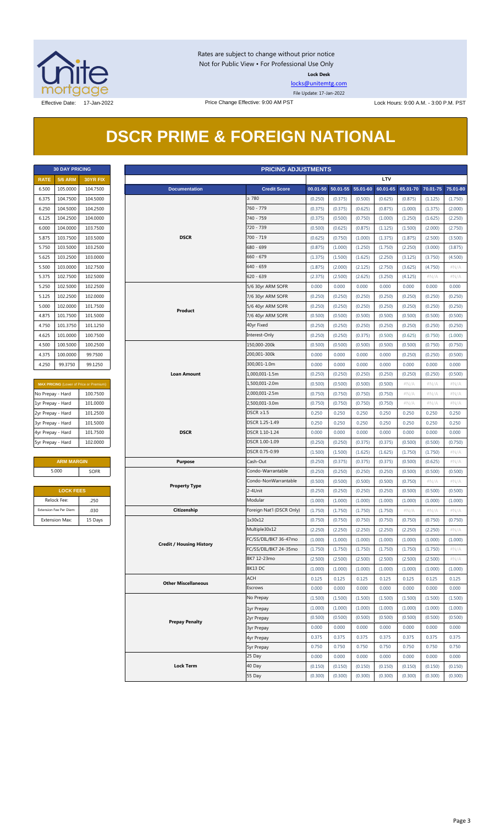

Rates are subject to change without prior notice Not for Public View • For Professional Use Only **Lock Desk**

[locks@unitemtg.com](mailto:locks@unitemtg.com)

File Update: 17-Jan-2022

# **DSCR PRIME & FOREIGN NATIONAL**

| <b>30 DAY PRICING</b> |                |                 |  |  |  |
|-----------------------|----------------|-----------------|--|--|--|
| <b>RATE</b>           | <b>5/6 ARM</b> | <b>30YR FIX</b> |  |  |  |
| 6.500                 | 105.0000       | 104.7500        |  |  |  |
| 6.375                 | 104.7500       | 104.5000        |  |  |  |
| 6.250                 | 104.5000       | 104.2500        |  |  |  |
| 6.125                 | 104.2500       | 104.0000        |  |  |  |
| 6.000                 | 104.0000       | 103.7500        |  |  |  |
| 5.875                 | 103.7500       | 103.5000        |  |  |  |
| 5.750                 | 103.5000       | 103.2500        |  |  |  |
| 5.625                 | 103.2500       | 103.0000        |  |  |  |
| 5.500                 | 103.0000       | 102.7500        |  |  |  |
| 5.375                 | 102.7500       | 102.5000        |  |  |  |
| 5.250                 | 102.5000       | 102.2500        |  |  |  |
| 5.125                 | 102.2500       | 102.0000        |  |  |  |
| 5.000                 | 102.0000       | 101.7500        |  |  |  |
| 4.875                 | 101.7500       | 101.5000        |  |  |  |
| 4.750                 | 101.3750       | 101.1250        |  |  |  |
| 4.625                 | 101.0000       | 100.7500        |  |  |  |
| 4.500                 | 100.5000       | 100.2500        |  |  |  |
| 4.375                 | 100.0000       | 99.7500         |  |  |  |
| 4.250                 | 99.3750        | 99.1250         |  |  |  |

| <b>MAX PRICING (Lower of Price or Premium)</b> |          |  |  |  |
|------------------------------------------------|----------|--|--|--|
| No Prepay - Hard                               | 100.7500 |  |  |  |
| 1yr Prepay - Hard                              | 101.0000 |  |  |  |
| 2yr Prepay - Hard                              | 101.2500 |  |  |  |
| 3yr Prepay - Hard                              | 101.5000 |  |  |  |
| 4yr Prepay - Hard                              | 101.7500 |  |  |  |
| 5yr Prepay - Hard                              | 102,0000 |  |  |  |

| <b>ARM MARGIN</b> |             |  |  |
|-------------------|-------------|--|--|
| 5.000             | <b>SOFR</b> |  |  |

| <b>LOCK FEES</b>        |         |  |  |  |
|-------------------------|---------|--|--|--|
| Relock Fee:             | .250    |  |  |  |
| Extension Fee Per Diem: | .030    |  |  |  |
| <b>Extension Max:</b>   | 15 Days |  |  |  |

|                   | <b>30 DAY PRICING</b>   |                                                     |                                 | <b>PRICING ADJUSTMENTS</b> |                  |                   |          |                  |                  |                  |                  |
|-------------------|-------------------------|-----------------------------------------------------|---------------------------------|----------------------------|------------------|-------------------|----------|------------------|------------------|------------------|------------------|
| <b>RATE</b>       | <b>5/6 ARM</b>          | 30YR FIX                                            |                                 |                            |                  |                   |          | <b>LTV</b>       |                  |                  |                  |
| 6.500             | 105.0000                | 104.7500                                            | <b>Documentation</b>            | <b>Credit Score</b>        |                  | 00.01-50 50.01-55 | 55.01-60 | 60.01-65         | 65.01-70         | 70.01-75         | 75.01-80         |
| 6.375             | 104.7500                | 104.5000                                            |                                 | $\geq 780$                 | (0.250)          | (0.375)           | (0.500)  | (0.625)          | (0.875)          | (1.125)          | (1.750)          |
| 6.250             | 104.5000                | 104.2500                                            |                                 | 760 - 779                  | (0.375)          | (0.375)           | (0.625)  | (0.875)          | (1.000)          | (1.375)          | (2.000)          |
| 6.125             | 104.2500                | 104.0000                                            |                                 | 740 - 759                  | (0.375)          | (0.500)           | (0.750)  | (1.000)          | (1.250)          | (1.625)          | (2.250)          |
| 6.000             | 104.0000                | 103.7500                                            |                                 | 720 - 739                  | (0.500)          | (0.625)           | (0.875)  | (1.125)          | (1.500)          | (2.000)          | (2.750)          |
| 5.875             | 103.7500                | 103.5000                                            | <b>DSCR</b>                     | $700 - 719$                | (0.625)          | (0.750)           | (1.000)  | (1.375)          | (1.875)          | (2.500)          | (3.500)          |
| 5.750             | 103.5000                | 103.2500                                            |                                 | 680 - 699                  | (0.875)          | (1.000)           | (1.250)  | (1.750)          | (2.250)          | (3.000)          | (3.875)          |
| 5.625             | 103.2500                | 103.0000                                            |                                 | $660 - 679$                | (1.375)          | (1.500)           | (1.625)  | (2.250)          | (3.125)          | (3.750)          | (4.500)          |
| 5.500             | 103.0000                | 102.7500                                            |                                 | $640 - 659$                | (1.875)          | (2.000)           | (2.125)  | (2.750)          | (3.625)          | (4.750)          | $\#N/A$          |
| 5.375             | 102.7500                | 102.5000                                            |                                 | $620 - 639$                | (2.375)          | (2.500)           | (2.625)  | (3.250)          | (4.125)          | #N/A             | $\#N/A$          |
| 5.250             | 102.5000                | 102.2500                                            |                                 | 5/6 30yr ARM SOFR          | 0.000            | 0.000             | 0.000    | 0.000            | 0.000            | 0.000            | 0.000            |
| 5.125             | 102.2500                | 102.0000                                            |                                 | 7/6 30yr ARM SOFR          | (0.250)          | (0.250)           | (0.250)  | (0.250)          | (0.250)          | (0.250)          | (0.250)          |
| 5.000             | 102.0000                | 101.7500                                            |                                 | 5/6 40yr ARM SOFR          | (0.250)          | (0.250)           | (0.250)  | (0.250)          | (0.250)          | (0.250)          | (0.250)          |
| 4.875             | 101.5000<br>101.7500    |                                                     | Product                         | 7/6 40yr ARM SOFR          | (0.500)          | (0.500)           | (0.500)  | (0.500)          | (0.500)          | (0.500)          | (0.500)          |
| 4.750             | 101.3750                | 101.1250                                            |                                 | 40yr Fixed                 | (0.250)          | (0.250)           | (0.250)  | (0.250)          | (0.250)          | (0.250)          | (0.250)          |
| 4.625             | 101.0000                | 100.7500                                            |                                 | Interest-Only              | (0.250)          | (0.250)           | (0.375)  | (0.500)          | (0.625)          | (0.750)          | (1.000)          |
| 4.500             | 100.5000                | 100.2500                                            |                                 | 150,000-200k               | (0.500)          | (0.500)           | (0.500)  | (0.500)          | (0.500)          | (0.750)          | (0.750)          |
| 4.375             | 100.0000                | 99.7500                                             |                                 | 200,001-300k               | 0.000            | 0.000             | 0.000    | 0.000            | (0.250)          | (0.250)          | (0.500)          |
| 4.250             | 99.3750                 | 99.1250                                             |                                 | 300,001-1.0m               | 0.000            | 0.000             | 0.000    | 0.000            | 0.000            | 0.000            | 0.000            |
|                   |                         |                                                     | <b>Loan Amount</b>              | 1,000,001-1.5m             | (0.250)          | (0.250)           | (0.250)  | (0.250)          | (0.250)          | (0.250)          | (0.500)          |
|                   |                         |                                                     |                                 | 1,500,001-2.0m             | (0.500)          | (0.500)           | (0.500)  | (0.500)          | $\#N/A$          | $\#N/A$          | #N/A             |
| No Prepay - Hard  |                         | MAX PRICING (Lower of Price or Premium)<br>100.7500 |                                 | 2,000,001-2.5m             | (0.750)          | (0.750)           | (0.750)  | (0.750)          | $\#N/A$          | $\#N/A$          | # $N/A$          |
|                   |                         | 101.0000                                            |                                 | 2,500,001-3.0m             |                  |                   | (0.750)  |                  |                  |                  |                  |
| 1yr Prepay - Hard |                         | 101.2500                                            |                                 | $DSCR \geq 1.5$            | (0.750)<br>0.250 | (0.750)<br>0.250  | 0.250    | (0.750)<br>0.250 | $\#N/A$<br>0.250 | $\#N/A$<br>0.250 | $\#N/A$<br>0.250 |
| 2yr Prepay - Hard |                         | 101.5000                                            |                                 | DSCR 1.25-1.49             |                  |                   |          |                  |                  |                  |                  |
| 3yr Prepay - Hard |                         | <b>DSCR</b><br>101.7500<br>102.0000                 |                                 | DSCR 1.10-1.24             | 0.250            | 0.250             | 0.250    | 0.250            | 0.250            | 0.250            | 0.250            |
| 4yr Prepay - Hard |                         |                                                     |                                 |                            | 0.000            | 0.000             | 0.000    | 0.000            | 0.000            | 0.000            | 0.000            |
| 5yr Prepay - Hard |                         |                                                     |                                 | DSCR 1.00-1.09             | (0.250)          | (0.250)           | (0.375)  | (0.375)          | (0.500)          | (0.500)          | (0.750)          |
|                   |                         |                                                     |                                 | DSCR 0.75-0.99             | (1.500)          | (1.500)           | (1.625)  | (1.625)          | (1.750)          | (1.750)          | $\#N/A$          |
|                   | <b>ARM MARGIN</b>       |                                                     | <b>Purpose</b>                  | Cash-Out                   | (0.250)          | (0.375)           | (0.375)  | (0.375)          | (0.500)          | (0.625)          | $\#N/A$          |
|                   | 5.000                   | SOFR                                                |                                 | Condo-Warrantable          | (0.250)          | (0.250)           | (0.250)  | (0.250)          | (0.500)          | (0.500)          | (0.500)          |
|                   |                         |                                                     | <b>Property Type</b>            | Condo-NonWarrantable       | (0.500)          | (0.500)           | (0.500)  | (0.500)          | (0.750)          | $\#N/A$          | #N/A             |
|                   | <b>LOCK FEES</b>        |                                                     |                                 | 2-4Unit                    | (0.250)          | (0.250)           | (0.250)  | (0.250)          | (0.500)          | (0.500)          | (0.500)          |
|                   | Relock Fee:             | .250                                                |                                 | Modular                    | (1.000)          | (1.000)           | (1.000)  | (1.000)          | (1.000)          | (1.000)          | (1.000)          |
|                   | Extension Fee Per Diem: | .030                                                | Citizenship                     | Foreign Nat'l (DSCR Only)  | (1.750)          | (1.750)           | (1.750)  | (1.750)          | $\#N/A$          | $\#N/A$          | $\#N/A$          |
|                   | <b>Extension Max:</b>   | 15 Days                                             |                                 | 1x30x12                    | (0.750)          | (0.750)           | (0.750)  | (0.750)          | (0.750)          | (0.750)          | (0.750)          |
|                   |                         |                                                     |                                 | Multiple30x12              | (2.250)          | (2.250)           | (2.250)  | (2.250)          | (2.250)          | (2.250)          | $\#N/A$          |
|                   |                         |                                                     | <b>Credit / Housing History</b> | FC/SS/DIL/BK7 36-47mo      | (1.000)          | (1.000)           | (1.000)  | (1.000)          | (1.000)          | (1.000)          | (1.000)          |
|                   |                         |                                                     |                                 | FC/SS/DIL/BK7 24-35mo      | (1.750)          | (1.750)           | (1.750)  | (1.750)          | (1.750)          | (1.750)          | #N/A             |
|                   |                         |                                                     |                                 | BK7 12-23mo                | (2.500)          | (2.500)           | (2.500)  | (2.500)          | (2.500)          | (2.500)          | $\#N/A$          |
|                   |                         |                                                     |                                 | BK13 DC                    | (1.000)          | (1.000)           | (1.000)  | (1.000)          | (1.000)          | (1.000)          | (1.000)          |
|                   |                         |                                                     | <b>Other Miscellaneous</b>      | ACH                        | 0.125            | 0.125             | 0.125    | 0.125            | 0.125            | 0.125            | 0.125            |
|                   |                         |                                                     |                                 | Escrows                    | 0.000            | 0.000             | 0.000    | 0.000            | 0.000            | 0.000            | 0.000            |
|                   |                         |                                                     |                                 | No Prepay                  | (1.500)          | (1.500)           | (1.500)  | (1.500)          | (1.500)          | (1.500)          | (1.500)          |
|                   |                         |                                                     |                                 | 1yr Prepay                 | (1.000)          | (1.000)           | (1.000)  | (1.000)          | (1.000)          | (1.000)          | (1.000)          |
|                   |                         |                                                     | <b>Prepay Penalty</b>           | 2yr Prepay                 | (0.500)          | (0.500)           | (0.500)  | (0.500)          | (0.500)          | (0.500)          | (0.500)          |
|                   |                         |                                                     |                                 | <b>3yr Prepay</b>          | 0.000            | 0.000             | 0.000    | 0.000            | 0.000            | 0.000            | 0.000            |
|                   |                         |                                                     |                                 | 4yr Prepay                 | 0.375            | 0.375             | 0.375    | 0.375            | 0.375            | 0.375            | 0.375            |
|                   |                         |                                                     |                                 | <b>5yr Prepay</b>          | 0.750            | 0.750             | 0.750    | 0.750            | 0.750            | 0.750            | 0.750            |
|                   |                         |                                                     |                                 | 25 Day                     | 0.000            | 0.000             | 0.000    | 0.000            | 0.000            | 0.000            | 0.000            |
|                   |                         |                                                     | <b>Lock Term</b>                | 40 Day                     | (0.150)          | (0.150)           | (0.150)  | (0.150)          | (0.150)          | (0.150)          | (0.150)          |
|                   |                         |                                                     |                                 | 55 Day                     | (0.300)          | (0.300)           | (0.300)  | (0.300)          | (0.300)          | (0.300)          | (0.300)          |
|                   |                         |                                                     |                                 |                            |                  |                   |          |                  |                  |                  |                  |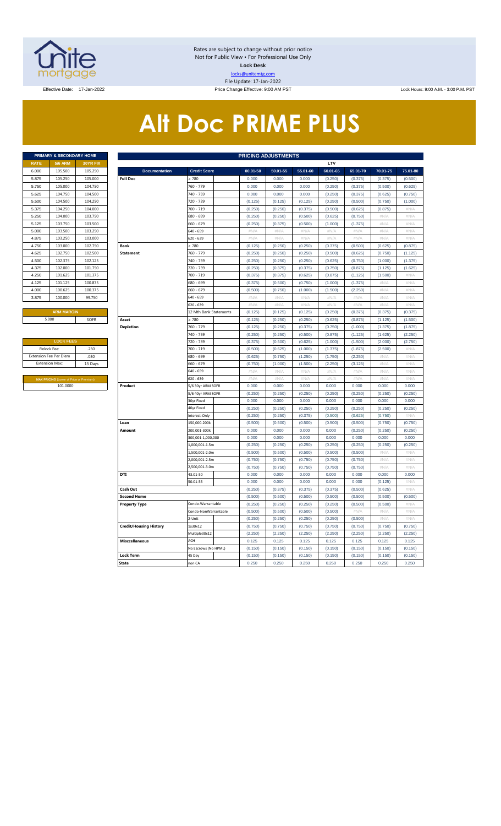

Rates are subject to change without prior notice Not for Public View • For Professional Use Only **Lock Desk** locks@unitemtg.com File Update: 17-Jan-2022 Effective Date: 17-Jan-2022 Price Change Effective: 9:00 AM PST Lock Hours: 9:00 A.M. - 3:00 P.M. PST

# **Alt Doc PRIME PLUS**

|             | <b>PRIMARY &amp; SECONDARY HOME</b> |                 |
|-------------|-------------------------------------|-----------------|
| <b>RATE</b> | <b>5/6 ARM</b>                      | <b>30YR FIX</b> |
| 6.000       | 105,500                             | 105.250         |
| 5.875       | 105.250                             | 105,000         |
| 5.750       | 105,000                             | 104.750         |
| 5.625       | 104.750                             | 104.500         |
| 5.500       | 104.500                             | 104.250         |
| 5.375       | 104.250                             | 104.000         |
| 5.250       | 104.000                             | 103.750         |
| 5.125       | 103.750                             | 103.500         |
| 5.000       | 103.500                             | 103.250         |
| 4.875       | 103.250                             | 103,000         |
| 4.750       | 103,000                             | 102.750         |
| 4.625       | 102.750                             | 102.500         |
| 4.500       | 102.375                             | 102.125         |
| 4.375       | 102,000                             | 101.750         |
| 4.250       | 101.625                             | 101.375         |
| 4.125       | 101.125                             | 100.875         |
| 4.000       | 100.625                             | 100.375         |
| 3.875       | 100,000                             | 99.750          |
|             |                                     |                 |

| <b>LOCK FEES</b>                               |         |  |  |  |  |  |  |  |  |  |
|------------------------------------------------|---------|--|--|--|--|--|--|--|--|--|
| Relock Fee:                                    | .250    |  |  |  |  |  |  |  |  |  |
| <b>Extension Fee Per Diem</b>                  | .030    |  |  |  |  |  |  |  |  |  |
| <b>Extension Max:</b>                          | 15 Days |  |  |  |  |  |  |  |  |  |
|                                                |         |  |  |  |  |  |  |  |  |  |
| <b>MAX PRICING (Lower of Price or Premium)</b> |         |  |  |  |  |  |  |  |  |  |
| 101.0000                                       |         |  |  |  |  |  |  |  |  |  |

|       | PRIMARY & SECONDARY HOME                       |          |                               |                        |          | <b>PRICING ADJUSTMENTS</b> |             |          |             |          |                     |
|-------|------------------------------------------------|----------|-------------------------------|------------------------|----------|----------------------------|-------------|----------|-------------|----------|---------------------|
| RATE  | <b>5/6 ARM</b>                                 | 30YR FIX |                               |                        |          |                            |             | LTV      |             |          |                     |
| 6.000 | 105.500                                        | 105.250  | <b>Documentation</b>          | <b>Credit Score</b>    | 00.01-50 | 50.01-55                   | 55.01-60    | 60.01-65 | 65.01-70    | 70.01-75 | 75.01-80            |
| 5.875 | 105.250                                        | 105.000  | <b>Full Doc</b>               | 2780                   | 0.000    | 0.000                      | 0.000       | (0.250)  | (0.375)     | (0.375)  | (0.500)             |
| 5.750 | 105.000                                        | 104.750  |                               | 760 - 779              | 0.000    | 0.000                      | 0.000       | (0.250)  | (0.375)     | (0.500)  | (0.625)             |
| 5.625 | 104.750                                        | 104.500  |                               | 740 - 759              | 0.000    | 0.000                      | 0.000       | (0.250)  | (0.375)     | (0.625)  | (0.750)             |
| 5.500 | 104.500                                        | 104.250  |                               | 720 - 739              | (0.125)  | (0.125)                    | (0.125)     | (0.250)  | (0.500)     | (0.750)  | (1.000)             |
| 5.375 | 104.250                                        | 104.000  |                               | 700 - 719              | (0.250)  | (0.250)                    | (0.375)     | (0.500)  | (0.625)     | (0.875)  | $\#\mathsf{N}/\ell$ |
| 5.250 | 104.000                                        | 103.750  |                               | 680 - 699              | (0.250)  | (0.250)                    | (0.500)     | (0.625)  | (0.750)     | $\#N/A$  | $\#N/A$             |
| 5.125 | 103.750                                        | 103.500  |                               | 660 - 679              | (0.250)  | (0.375)                    | (0.500)     | (1.000)  | (1.375)     | #N/A     | $\#N/A$             |
| 5.000 | 103.500                                        | 103.250  |                               | 540 - 659              | #N/A     | #N/A                       | #N/A        | $\#N/A$  | #N/A        | # $N/A$  | #N/A                |
| 4.875 | 103.250                                        | 103.000  |                               | 620 - 639              | #N/A     | #N/A                       | #N/A        | #N/A     | #N/A        | #N/A     | #N/A                |
| 4.750 | 103.000                                        | 102.750  | <b>Bank</b>                   | $\geq 780$             | (0.125)  | (0.250)                    | (0.250)     | (0.375)  | (0.500)     | (0.625)  | (0.875)             |
| 4.625 | 102.750                                        | 102.500  | <b>Statement</b>              | 760 - 779              | (0.250)  | (0.250)                    | (0.250)     | (0.500)  | (0.625)     | (0.750)  | (1.125)             |
| 4.500 | 102.375                                        | 102.125  |                               | 740 - 759              | (0.250)  | (0.250)                    | (0.250)     | (0.625)  | (0.750)     | (1.000)  | (1.375)             |
| 4.375 | 102.000                                        | 101.750  |                               | 720 - 739              | (0.250)  | (0.375)                    | (0.375)     | (0.750)  | (0.875)     | (1.125)  | (1.625)             |
| 4.250 | 101.625                                        | 101.375  |                               | 700 - 719              | (0.375)  | (0.375)                    | (0.625)     | (0.875)  | (1.125)     | (1.500)  | #N/A                |
| 4.125 | 101.125                                        | 100.875  |                               | 680 - 699              | (0.375)  | (0.500)                    | (0.750)     | (1.000)  | (1.375)     | #N/A     | #N/A                |
| 4.000 | 100.625                                        | 100.375  |                               | 660 - 679              | (0.500)  | (0.750)                    | (1.000)     | (1.500)  | (2.250)     | # $N/A$  | #N/A                |
| 3.875 | 100.000                                        | 99.750   |                               | 640 - 659              | $\#N/A$  | #N/A                       | #N/A        | #N/A     | #N/A        | #N/A     | #N/A                |
|       |                                                |          |                               | 520 - 639              | $\#N/A$  | #N/A                       | #N/A        | #N/A     | #N/A        | #N/A     | $\#N/A$             |
|       | <b>ARM MARGIN</b>                              |          |                               | 12 Mth Bank Statements | (0.125)  | (0.125)                    | (0.125)     | (0.250)  | (0.375)     | (0.375)  | (0.375)             |
|       | 5.000                                          | SOFR     | Asset                         | $\geq 780$             | (0.125)  | (0.250)                    | (0.250)     | (0.625)  | (0.875)     | (1.125)  | (1.500)             |
|       |                                                |          | <b>Depletion</b>              | 760 - 779              | (0.125)  | (0.250)                    | (0.375)     | (0.750)  | (1.000)     | (1.375)  | (1.875)             |
|       |                                                |          |                               | 740 - 759              | (0.250)  | (0.250)                    | (0.500)     | (0.875)  | (1.125)     | (1.625)  | (2.250)             |
|       | <b>LOCK FEES</b>                               |          |                               | 720 - 739              | (0.375)  | (0.500)                    | (0.625)     | (1.000)  | (1.500)     | (2.000)  | (2.750)             |
|       | Relock Fee:                                    | .250     |                               | 700 - 719              | (0.500)  | (0.625)                    | (1.000)     | (1.375)  | (1.875)     | (2.500)  | $\#N/A$             |
|       | xtension Fee Per Diem                          | .030     |                               | 680 - 699              | (0.625)  | (0.750)                    | (1.250)     | (1.750)  | (2.250)     | #N/A     | #N/A                |
|       | <b>Extension Max:</b>                          | 15 Days  |                               | 660 - 679              | (0.750)  | (1.000)                    | (1.500)     | (2.250)  | (3.125)     | #N/A     | #N/A                |
|       |                                                |          |                               | 640 - 659              | #N/A     | #N/A                       | #N/A        | #N/A     | #N/A        | #N/A     | #N/A                |
|       | <b>MAX PRICING (Lower of Price or Premium)</b> |          |                               | 620 - 639              | $\#N/A$  | $\#N/\beta$                | $\#N/\beta$ | $\#N/A$  | $\#N/\beta$ | #N/A     | $\#N/\beta$         |
|       | 101.0000                                       |          | Product                       | 5/6 30yr ARM SOFR      | 0.000    | 0.000                      | 0.000       | 0.000    | 0.000       | 0.000    | 0.000               |
|       |                                                |          |                               | 5/6 40yr ARM SOFR      | (0.250)  | (0.250)                    | (0.250)     | (0.250)  | (0.250)     | (0.250)  | (0.250)             |
|       |                                                |          |                               | 30yr Fixed             | 0.000    | 0.000                      | 0.000       | 0.000    | 0.000       | 0.000    | 0.000               |
|       |                                                |          |                               | 40yr Fixed             | (0.250)  | (0.250)                    | (0.250)     | (0.250)  | (0.250)     | (0.250)  | (0.250)             |
|       |                                                |          |                               | nterest-Only           | (0.250)  | (0.250)                    | (0.375)     | (0.500)  | (0.625)     | (0.750)  | #N/A                |
|       |                                                |          | Loan                          | 150,000-200k           | (0.500)  | (0.500)                    | (0.500)     | (0.500)  | (0.500)     | (0.750)  | (0.750)             |
|       |                                                |          | Amount                        | 200,001-300k           | 0.000    | 0.000                      | 0.000       | 0.000    | (0.250)     | (0.250)  | (0.250)             |
|       |                                                |          |                               | 300,001-1,000,000      | 0.000    | 0.000                      | 0.000       | 0.000    | 0.000       | 0.000    | 0.000               |
|       |                                                |          |                               | 1,000,001-1.5m         | (0.250)  | (0.250)                    | (0.250)     | (0.250)  | (0.250)     | (0.250)  | (0.250)             |
|       |                                                |          |                               | .,500,001-2.0m         | (0.500)  | (0.500)                    | (0.500)     | (0.500)  | (0.500)     | #N/A     | #N/A                |
|       |                                                |          |                               | 2,000,001-2.5m         | (0.750)  | (0.750)                    | (0.750)     | (0.750)  | (0.750)     | #N/A     | #N/A                |
|       |                                                |          |                               | 2,500,001-3.0m         | (0.750)  | (0.750)                    | (0.750)     | (0.750)  | (0.750)     | #N/A     | #N/A                |
|       |                                                |          | DTI                           | 43.01-50               | 0.000    | 0.000                      | 0.000       | 0.000    | 0.000       | 0.000    | 0.000               |
|       |                                                |          |                               | 50.01-55               | 0.000    | 0.000                      | 0.000       | 0.000    | 0.000       | (0.125)  | #N/A                |
|       |                                                |          | Cash Out                      |                        | (0.250)  | (0.375)                    | (0.375)     | (0.375)  | (0.500)     | (0.625)  | #N/A                |
|       |                                                |          | <b>Second Home</b>            |                        | (0.500)  | (0.500)                    | (0.500)     | (0.500)  | (0.500)     | (0.500)  | (0.500)             |
|       |                                                |          | <b>Property Type</b>          | Condo-Warrantable      | (0.250)  | (0.250)                    | (0.250)     | (0.250)  | (0.500)     | (0.500)  | #N/A                |
|       |                                                |          |                               | Condo-NonWarrantable   | (0.500)  | (0.500)                    | (0.500)     | (0.500)  | #N/A        | #N/A     | #N/A                |
|       |                                                |          |                               | 2-Unit                 | (0.250)  | (0.250)                    | (0.250)     | (0.250)  | (0.500)     | #N/A     | #N/A                |
|       |                                                |          | <b>Credit/Housing History</b> | 1x30x12                | (0.750)  | (0.750)                    | (0.750)     | (0.750)  | (0.750)     | (0.750)  | (0.750)             |
|       |                                                |          |                               | Multiple30x12          | (2.250)  | (2.250)                    | (2.250)     | (2.250)  | (2.250)     | (2.250)  | (2.250)             |
|       |                                                |          | <b>Misccellaneous</b>         | ACH                    | 0.125    | 0.125                      | 0.125       | 0.125    | 0.125       | 0.125    | 0.125               |
|       |                                                |          |                               | No Escrows (No HPML)   | (0.150)  | (0.150)                    | (0.150)     | (0.150)  | (0.150)     | (0.150)  | (0.150)             |
|       |                                                |          | <b>Lock Term</b>              | 45 Day                 | (0.150)  | (0.150)                    | (0.150)     | (0.150)  | (0.150)     | (0.150)  | (0.150)             |
|       |                                                |          | <b>State</b>                  | non CA                 | 0.250    | 0.250                      | 0.250       | 0.250    | 0.250       | 0.250    | 0.250               |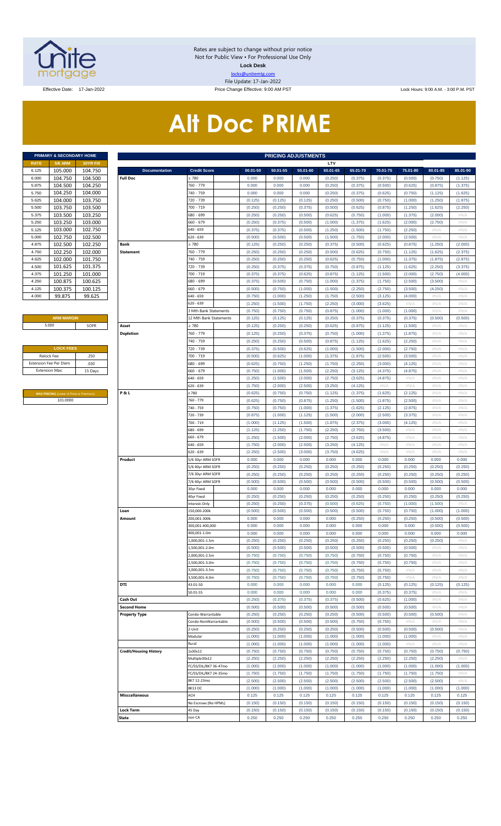

Rates are subject to change without prior notice Not for Public View • For Professional Use Only **Lock Desk** locks@unitemtg.com File Update: 17-Jan-2022

Effective Date: 17-Jan-2022 Price Change Effective: 9:00 AM PST Lock Hours: 9:00 A.M. - 3:00 P.M. PST

# **Alt Doc PRIME**

| <b>PRIMARY &amp; SECONDARY HOME</b> |                |                 |  |  |  |  |  |  |  |  |  |
|-------------------------------------|----------------|-----------------|--|--|--|--|--|--|--|--|--|
| <b>RATE</b>                         | <b>5/6 ARM</b> | <b>30YR FIX</b> |  |  |  |  |  |  |  |  |  |
| 6.125                               | 105.000        | 104.750         |  |  |  |  |  |  |  |  |  |
| 6.000                               | 104.750        | 104.500         |  |  |  |  |  |  |  |  |  |
| 5.875                               | 104.500        | 104.250         |  |  |  |  |  |  |  |  |  |
| 5.750                               | 104.250        | 104.000         |  |  |  |  |  |  |  |  |  |
| 5.625                               | 104.000        | 103.750         |  |  |  |  |  |  |  |  |  |
| 5.500                               | 103.750        | 103.500         |  |  |  |  |  |  |  |  |  |
| 5.375                               | 103.500        | 103.250         |  |  |  |  |  |  |  |  |  |
| 5.250                               | 103.250        | 103.000         |  |  |  |  |  |  |  |  |  |
| 5.125                               | 103.000        | 102.750         |  |  |  |  |  |  |  |  |  |
| 5.000                               | 102.750        | 102.500         |  |  |  |  |  |  |  |  |  |
| 4.875                               | 102.500        | 102.250         |  |  |  |  |  |  |  |  |  |
| 4.750                               | 102.250        | 102.000         |  |  |  |  |  |  |  |  |  |
| 4.625                               | 102.000        | 101.750         |  |  |  |  |  |  |  |  |  |
| 4.500                               | 101.625        | 101.375         |  |  |  |  |  |  |  |  |  |
| 4.375                               | 101.250        | 101.000         |  |  |  |  |  |  |  |  |  |
| 4.250                               | 100.875        | 100.625         |  |  |  |  |  |  |  |  |  |
| 4.125                               | 100.375        | 100.125         |  |  |  |  |  |  |  |  |  |
| 4.000                               | 99.875         | 99.625          |  |  |  |  |  |  |  |  |  |

### **ARM MARGIN**

| <b>LOCK FEES</b>              |         |
|-------------------------------|---------|
| Relock Fee:                   | .250    |
| <b>Extension Fee Per Diem</b> | .030    |
| <b>Extension Max:</b>         | 15 Days |
|                               |         |

**MAX PRICING** (Lower of Price or Premium) 101.0000

|                       | PRIMARY & SECONDARY HOME                |          | <b>PRICING ADJUSTMENTS</b>    |                        |  |          |          |          |          |          |          |          |          |          |
|-----------------------|-----------------------------------------|----------|-------------------------------|------------------------|--|----------|----------|----------|----------|----------|----------|----------|----------|----------|
| RATE                  | <b>5/6 ARM</b>                          | 30YR FIX |                               |                        |  |          |          |          | LTV      |          |          |          |          |          |
| 6.125                 | 105.000                                 | 104.750  | <b>Documentation</b>          | <b>Credit Score</b>    |  | 00.01-50 | 50.01-55 | 55.01-60 | 60.01-65 | 65.01-70 | 70.01-75 | 75.01-80 | 80.01-85 | 85.01-90 |
| 6.000                 | 104.750                                 | 104.500  | <b>Full Doc</b>               | : 780                  |  | 0.000    | 0.000    | 0.000    | (0.250)  | (0.375)  | (0.375)  | (0.500)  | (0.750)  | (1.125)  |
| 5.875                 | 104.500                                 | 104.250  |                               | 760 - 779              |  | 0.000    | 0.000    | 0.000    | (0.250)  | (0.375)  | (0.500)  | (0.625)  | (0.875)  | (1.375)  |
| 5.750                 | 104.250                                 | 104.000  |                               | 740 - 759              |  | 0.000    | 0.000    | 0.000    | (0.250)  | (0.375)  | (0.625)  | (0.750)  | (1.125)  | (1.625)  |
| 5.625                 | 104.000                                 | 103.750  |                               | 720 - 739              |  | (0.125)  | (0.125)  | (0.125)  | (0.250)  | (0.500)  | (0.750)  | (1.000)  | (1.250)  | (1.875)  |
| 5.500                 | 103.750                                 | 103.500  |                               | 700 - 719              |  | (0.250)  | (0.250)  | (0.375)  | (0.500)  | (0.625)  | (0.875)  | (1.250)  | (1.625)  | (2.250)  |
| 5.375                 | 103.500                                 | 103.250  |                               | 680 - 699              |  | (0.250)  | (0.250)  | (0.500)  | (0.625)  | (0.750)  | (1.000)  | (1.375)  | (2.000)  | #N/A     |
| 5.250                 | 103.250                                 | 103.000  |                               | 660 - 679              |  | (0.250)  | (0.375)  | (0.500)  | (1.000)  | (1.375)  | (1.625)  | (2.000)  | (2.750)  | #N/A     |
| 5.125                 | 103.000                                 | 102.750  |                               | 640 - 659              |  | (0.375)  | (0.375)  | (0.500)  | (1.250)  | (1.500)  | (1.750)  | (2.250)  | #N/A     | #N/A     |
| 5.000                 | 102.750                                 | 102.500  |                               | 620 - 639              |  | (0.500)  | (0.500)  | (0.500)  | (1.500)  | (1.750)  | (2.000)  | (2.500)  | #N/A     | #N/A     |
| 4.875                 | 102.500                                 | 102.250  | Bank                          | : 780                  |  | (0.125)  | (0.250)  | (0.250)  | (0.375)  | (0.500)  | (0.625)  | (0.875)  | (1.250)  | (2.000)  |
| 4.750                 | 102.250                                 | 102.000  | <b>Statement</b>              | 760 - 779              |  | (0.250)  | (0.250)  | (0.250)  | (0.500)  | (0.625)  | (0.750)  | (1.125)  | (1.625)  | (2.375)  |
| 4.625                 | 102.000                                 | 101.750  |                               | 740 - 759              |  | (0.250)  | (0.250)  | (0.250)  | (0.625)  | (0.750)  | (1.000)  | (1.375)  | (1.875)  | (2.875)  |
| 4.500                 | 101.625                                 | 101.375  |                               | 720 - 739              |  | (0.250)  | (0.375)  | (0.375)  | (0.750)  | (0.875)  | (1.125)  | (1.625)  | (2.250)  | (3.375)  |
| 4.375                 | 101.250                                 | 101.000  |                               | 700 - 719              |  | (0.375)  | (0.375)  | (0.625)  | (0.875)  | (1.125)  | (1.500)  | (2.000)  | (2.750)  | (4.000)  |
| 4.250                 | 100.875                                 | 100.625  |                               | 680 - 699              |  | (0.375)  | (0.500)  | (0.750)  | (1.000)  | (1.375)  | (1.750)  | (2.500)  | (3.500)  | #N/A     |
| 4.125                 | 100.375                                 | 100.125  |                               | 660 - 679              |  | (0.500)  | (0.750)  | (1.000)  | (1.500)  | (2.250)  | (2.750)  | (3.500)  | (4.250)  | #N/A     |
| 4.000                 | 99.875                                  | 99.625   |                               | 640 - 659              |  | (0.750)  | (1.000)  | (1.250)  | (1.750)  | (2.500)  | (3.125)  | (4.000)  | #N/A     | #N/A     |
|                       |                                         |          |                               | 620 - 639              |  | (1.250)  | (1.500)  | (1.750)  | (2.250)  | (3.000)  | (3.625)  | #N/A     | #N/A     | #N/A     |
|                       |                                         |          |                               | 3 Mth Bank Statements  |  | (0.750)  | (0.750)  | (0.750)  | (0.875)  | (1.000)  | (1.000)  | (1.000)  | #N/A     | #N/A     |
|                       | <b>ARM MARGIN</b>                       |          |                               | 12 Mth Bank Statements |  | (0.125)  | (0.125)  | (0.125)  | (0.250)  | (0.375)  | (0.375)  | (0.375)  | (0.500)  | (0.500)  |
|                       | 5.000                                   | SOFR     | Asset                         | 2780                   |  | (0.125)  | (0.250)  | (0.250)  | (0.625)  | (0.875)  | (1.125)  | (1.500)  | #N/A     | #N/A     |
|                       |                                         |          | <b>Depletion</b>              | 760 - 779              |  | (0.125)  | (0.250)  | (0.375)  | (0.750)  | (1.000)  | (1.375)  | (1.875)  | #N/A     | #N/A     |
|                       |                                         |          |                               | 740 - 759              |  | (0.250)  | (0.250)  | (0.500)  | (0.875)  | (1.125)  | (1.625)  | (2.250)  | $\#N/A$  | #N/A     |
|                       | <b>LOCK FEES</b>                        |          |                               | 720 - 739              |  | (0.375)  | (0.500)  | (0.625)  | (1.000)  | (1.500)  | (2.000)  | (2.750)  | $\#N/A$  | #N/A     |
| Relock Fee:           |                                         | .250     |                               | 700 - 719              |  | (0.500)  | (0.625)  | (1.000)  | (1.375)  | (1.875)  | (2.500)  | (3.500)  | $\#N/A$  | #N/A     |
|                       | xtension Fee Per Diem                   | .030     |                               | 680 - 699              |  | (0.625)  | (0.750)  | (1.250)  | (1.750)  | (2.250)  | (3.000)  | (4.125)  | # $N/A$  | #N/A     |
| <b>Extension Max:</b> |                                         | 15 Days  |                               | 660 - 679              |  | (0.750)  | (1.000)  | (1.500)  | (2.250)  | (3.125)  | (4.375)  | (4.875)  | $\#N/A$  | #N/A     |
|                       |                                         |          |                               | 640 - 659              |  | (1.250)  | (1.500)  | (2.000)  | (2.750)  | (3.625)  | (4.875)  | #N/A     | $\#N/A$  | #N/A     |
|                       |                                         |          |                               | 620 - 639              |  | (1.750)  | (2.000)  | (2.500)  | (3.250)  | (4.125)  | #N/A     | #N/A     | $\#N/A$  | #N/A     |
|                       | MAX PRICING (Lower of Price or Premium) |          | P&L                           | 2780                   |  | (0.625)  | (0.750)  | (0.750)  | (1.125)  | (1.375)  | (1.625)  | (2.125)  | $\#N/A$  | #N/A     |
|                       | 101.0000                                |          |                               | 760 - 779              |  | (0.625)  | (0.750)  | (0.875)  | (1.250)  | (1.500)  | (1.875)  | (2.500)  | $\#N/A$  | #N/A     |
|                       |                                         |          |                               | 740 - 759              |  | (0.750)  | (0.750)  | (1.000)  | (1.375)  | (1.625)  | (2.125)  | (2.875)  | # $N/A$  | #N/A     |
|                       |                                         |          |                               | 720 - 739              |  | (0.875)  | (1.000)  | (1.125)  | (1.500)  | (2.000)  | (2.500)  | (3.375)  | $\#N/A$  | #N/A     |
|                       |                                         |          |                               | 700 - 719              |  | (1.000)  | (1.125)  | (1.500)  | (1.875)  | (2.375)  | (3.000)  | (4.125)  | $\#N/A$  | #N/A     |
|                       |                                         |          |                               | 680 - 699              |  | (1.125)  | (1.250)  | (1.750)  | (2.250)  | (2.750)  | (3.500)  | #N/A     | $\#N/A$  | #N/A     |
|                       |                                         |          |                               | 660 - 679              |  | (1.250)  | (1.500)  | (2.000)  | (2.750)  | (3.625)  | (4.875)  | #N/A     | $\#N/A$  | #N/A     |
|                       |                                         |          |                               | 640 - 659              |  | (1.750)  | (2.000)  | (2.500)  | (3.250)  | (4.125)  | #N/A     | #N/A     | $\#N/A$  | #N/A     |
|                       |                                         |          |                               | 620 - 639              |  | (2.250)  | (2.500)  | (3.000)  | (3.750)  | (4.625)  | #N/A     | #N/A     | $\#N/A$  | #N/A     |
|                       |                                         |          | Product                       | 5/6 30yr ARM SOFR      |  | 0.000    | 0.000    | 0.000    | 0.000    | 0.000    | 0.000    | 0.000    | 0.000    | 0.000    |
|                       |                                         |          |                               | 5/6 40yr ARM SOFR      |  | (0.250)  | (0.250)  | (0.250)  | (0.250)  | (0.250)  | (0.250)  | (0.250)  | (0.250)  | (0.250)  |
|                       |                                         |          |                               | 7/6 30yr ARM SOFR      |  | (0.250)  | (0.250)  | (0.250)  | (0.250)  | (0.250)  | (0.250)  | (0.250)  | (0.250)  | (0.250)  |
|                       |                                         |          |                               | 7/6 40yr ARM SOFR      |  | (0.500)  | (0.500)  | (0.500)  | (0.500)  | (0.500)  | (0.500)  | (0.500)  | (0.500)  | (0.500)  |
|                       |                                         |          |                               | 30yr Fixed             |  | 0.000    | 0.000    | 0.000    | 0.000    | 0.000    | 0.000    | 0.000    | 0.000    | 0.000    |
|                       |                                         |          |                               | 40yr Fixed             |  | (0.250)  | (0.250)  | (0.250)  | (0.250)  | (0.250)  | (0.250)  | (0.250)  | (0.250)  | (0.250)  |
|                       |                                         |          |                               | nterest-Only           |  | (0.250)  | (0.250)  | (0.375)  | (0.500)  | (0.625)  | (0.750)  | (1.000)  | (1.500)  | #N/A     |
|                       |                                         |          | Loan                          | 150,000-200k           |  | (0.500)  | (0.500)  | (0.500)  | (0.500)  | (0.500)  | (0.750)  | (0.750)  | (1.000)  | (1.000)  |
|                       |                                         |          | Amount                        | 200,001-300k           |  | 0.000    | 0.000    | 0.000    | 0.000    | (0.250)  | (0.250)  | (0.250)  | (0.500)  | (0.500)  |
|                       |                                         |          |                               | 300,001-400,000        |  | 0.000    | 0.000    | 0.000    | 0.000    | 0.000    | 0.000    | 0.000    | (0.500)  | (0.500)  |
|                       |                                         |          |                               | 400,001-1.0m           |  | 0.000    | 0.000    | 0.000    | 0.000    | 0.000    | 0.000    | 0.000    | 0.000    | 0.000    |
|                       |                                         |          |                               | .,000,001-1.5m         |  | (0.250)  | (0.250)  | (0.250)  | (0.250)  | (0.250)  | (0.250)  | (0.250)  | (0.250)  | #N/A     |
|                       |                                         |          |                               | ,500,001-2.0m          |  | (0.500)  | (0.500)  | (0.500)  | (0.500)  | (0.500)  | (0.500)  | (0.500)  | $\#N/A$  | #N/A     |
|                       |                                         |          |                               | .000,001-2.5m          |  | (0.750)  | (0.750)  | (0.750)  | (0.750)  | (0.750)  | (0.750)  | (0.750)  | # $N/A$  | #N/A     |
|                       |                                         |          |                               |                        |  | (0.750)  | (0.750)  | (0.750)  | (0.750)  | (0.750)  | (0.750)  | (0.750)  | $\#N/A$  | #N/A     |
|                       |                                         |          |                               | ,500,001-3.0m          |  |          |          |          |          |          |          |          | # $N/A$  |          |
|                       |                                         |          |                               | 3,000,001-3.5m         |  | (0.750)  | (0.750)  | (0.750)  | (0.750)  | (0.750)  | (0.750)  | #N/A     |          | #N/A     |
|                       |                                         |          | DTI                           | ,500,001-4.0m          |  | (0.750)  | (0.750)  | (0.750)  | (0.750)  | (0.750)  | (0.750)  | #N/A     | $\#N/A$  | #N/A     |
|                       |                                         |          |                               | 43.01-50               |  | 0.000    | 0.000    | 0.000    | 0.000    | 0.000    | (0.125)  | (0.125)  | (0.125)  | (0.125)  |
|                       |                                         |          |                               | 50.01-55               |  | 0.000    | 0.000    | 0.000    | 0.000    | 0.000    | (0.375)  | (0.375)  | $\#N/A$  | #N/A     |
|                       |                                         |          | Cash Out                      |                        |  | (0.250)  | (0.375)  | (0.375)  | (0.375)  | (0.500)  | (0.625)  | (1.000)  | # $N/A$  | #N/A     |
|                       |                                         |          | <b>Second Home</b>            |                        |  | (0.500)  | (0.500)  | (0.500)  | (0.500)  | (0.500)  | (0.500)  | (0.500)  | $\#N/A$  | #N/A     |
|                       |                                         |          | <b>Property Type</b>          | Condo-Warrantable      |  | (0.250)  | (0.250)  | (0.250)  | (0.250)  | (0.500)  | (0.500)  | (0.500)  | (0.500)  | # $N/A$  |
|                       |                                         |          |                               | Condo-NonWarrantable   |  | (0.500)  | (0.500)  | (0.500)  | (0.500)  | (0.750)  | (0.750)  | #N/A     | $\#N/A$  | #N/A     |
|                       |                                         |          |                               | !-Unit                 |  | (0.250)  | (0.250)  | (0.250)  | (0.250)  | (0.500)  | (0.500)  | (0.500)  | (0.500)  | # $N/A$  |
|                       |                                         |          |                               | Modular                |  | (1.000)  | (1.000)  | (1.000)  | (1.000)  | (1.000)  | (1.000)  | (1.000)  | $\#N/A$  | #N/A     |
|                       |                                         |          |                               | Rural                  |  | (1.000)  | (1.000)  | (1.000)  | (1.000)  | (1.000)  | (1.000)  | #N/A     | #N/A     | # $N/A$  |
|                       |                                         |          | <b>Credit/Housing History</b> | 1x30x12                |  | (0.750)  | (0.750)  | (0.750)  | (0.750)  | (0.750)  | (0.750)  | (0.750)  | (0.750)  | (0.750)  |
|                       |                                         |          |                               | Multiple30x12          |  | (2.250)  | (2.250)  | (2.250)  | (2.250)  | (2.250)  | (2.250)  | (2.250)  | (2.250)  | #N/A     |
|                       |                                         |          |                               | FC/SS/DIL/BK7 36-47mo  |  | (1.000)  | (1.000)  | (1.000)  | (1.000)  | (1.000)  | (1.000)  | (1.000)  | (1.000)  | (1.000)  |
|                       |                                         |          |                               | FC/SS/DIL/BK7 24-35mo  |  | (1.750)  | (1.750)  | (1.750)  | (1.750)  | (1.750)  | (1.750)  | (1.750)  | (1.750)  | #N/A     |
|                       |                                         |          |                               | BK7 12-23mo            |  | (2.500)  | (2.500)  | (2.500)  | (2.500)  | (2.500)  | (2.500)  | (2.500)  | (2.500)  | #N/A     |
|                       |                                         |          |                               | BK13DC                 |  | (1.000)  | (1.000)  | (1.000)  | (1.000)  | (1.000)  | (1.000)  | (1.000)  | (1.000)  | (1.000)  |
|                       |                                         |          | <b>Misccellaneous</b>         | ACH                    |  | 0.125    | 0.125    | 0.125    | 0.125    | 0.125    | 0.125    | 0.125    | 0.125    | 0.125    |
|                       |                                         |          |                               | No Escrows (No HPML)   |  | (0.150)  | (0.150)  | (0.150)  | (0.150)  | (0.150)  | (0.150)  | (0.150)  | (0.150)  | (0.150)  |
|                       |                                         |          | <b>Lock Term</b>              | 45 Day                 |  | (0.150)  | (0.150)  | (0.150)  | (0.150)  | (0.150)  | (0.150)  | (0.150)  | (0.150)  | (0.150)  |
|                       |                                         |          | <b>State</b>                  | non CA                 |  | 0.250    | 0.250    | 0.250    | 0.250    | 0.250    | 0.250    | 0.250    | 0.250    | 0.250    |
|                       |                                         |          |                               |                        |  |          |          |          |          |          |          |          |          |          |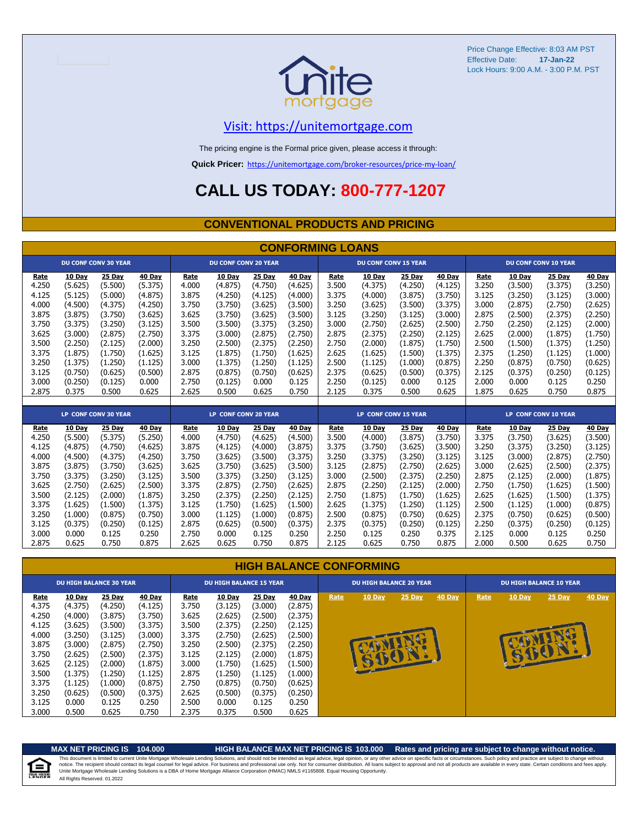

## [V](https://unitemortgage.com/)isit: https://unitemortgage.com

The pricing engine is the Formal price given, please access it through:

**Quick Pricer:** [https://un](https://unitemortgage.com/broker-resources/price-my-loan/)itemortgage.com/broker-resources/price-my-loan/

# **CALL US TODAY: 800-777-1207**

### **CONVENTIONAL PRODUCTS AND PRICING**

|       | <b>CONFORMING LOANS</b> |                             |         |       |                             |         |         |       |                             |               |         |       |         |                             |               |
|-------|-------------------------|-----------------------------|---------|-------|-----------------------------|---------|---------|-------|-----------------------------|---------------|---------|-------|---------|-----------------------------|---------------|
|       |                         | <b>DU CONF CONV 30 YEAR</b> |         |       | <b>DU CONF CONV 20 YEAR</b> |         |         |       | <b>DU CONF CONV 15 YEAR</b> |               |         |       |         | <b>DU CONF CONV 10 YEAR</b> |               |
| Rate  | 10 Day                  | 25 Day                      | 40 Day  | Rate  | 10 Day                      | 25 Day  | 40 Day  | Rate  | 10 Day                      | 25 Day        | 40 Day  | Rate  | 10 Day  | 25 Day                      | 40 Day        |
| 4.250 | (5.625)                 | (5.500)                     | (5.375) | 4.000 | (4.875)                     | (4.750) | (4.625) | 3.500 | (4.375)                     | (4.250)       | (4.125) | 3.250 | (3.500) | (3.375)                     | (3.250)       |
| 4.125 | (5.125)                 | (5.000)                     | (4.875) | 3.875 | (4.250)                     | (4.125) | (4.000) | 3.375 | (4.000)                     | (3.875)       | (3.750) | 3.125 | (3.250) | (3.125)                     | (3.000)       |
| 4.000 | (4.500)                 | (4.375)                     | (4.250) | 3.750 | (3.750)                     | (3.625) | (3.500) | 3.250 | (3.625)                     | (3.500)       | (3.375) | 3.000 | (2.875) | (2.750)                     | (2.625)       |
| 3.875 | (3.875)                 | (3.750)                     | (3.625) | 3.625 | (3.750)                     | (3.625) | (3.500) | 3.125 | (3.250)                     | (3.125)       | (3.000) | 2.875 | (2.500) | (2.375)                     | (2.250)       |
| 3.750 | (3.375)                 | (3.250)                     | (3.125) | 3.500 | (3.500)                     | (3.375) | (3.250) | 3.000 | (2.750)                     | (2.625)       | (2.500) | 2.750 | (2.250) | (2.125)                     | (2.000)       |
| 3.625 | (3.000)                 | (2.875)                     | (2.750) | 3.375 | (3.000)                     | (2.875) | (2.750) | 2.875 | (2.375)                     | (2.250)       | (2.125) | 2.625 | (2.000) | (1.875)                     | (1.750)       |
| 3.500 | (2.250)                 | (2.125)                     | (2.000) | 3.250 | (2.500)                     | (2.375) | (2.250) | 2.750 | (2.000)                     | (1.875)       | (1.750) | 2.500 | (1.500) | (1.375)                     | (1.250)       |
| 3.375 | (1.875)                 | (1.750)                     | (1.625) | 3.125 | (1.875)                     | (1.750) | (1.625) | 2.625 | (1.625)                     | (1.500)       | (1.375) | 2.375 | (1.250) | (1.125)                     | (1.000)       |
| 3.250 | (1.375)                 | (1.250)                     | (1.125) | 3.000 | (1.375)                     | (1.250) | (1.125) | 2.500 | (1.125)                     | (1.000)       | (0.875) | 2.250 | (0.875) | (0.750)                     | (0.625)       |
| 3.125 | (0.750)                 | (0.625)                     | (0.500) | 2.875 | (0.875)                     | (0.750) | (0.625) | 2.375 | (0.625)                     | (0.500)       | (0.375) | 2.125 | (0.375) | (0.250)                     | (0.125)       |
| 3.000 | (0.250)                 | (0.125)                     | 0.000   | 2.750 | (0.125)                     | 0.000   | 0.125   | 2.250 | (0.125)                     | 0.000         | 0.125   | 2.000 | 0.000   | 0.125                       | 0.250         |
| 2.875 | 0.375                   | 0.500                       | 0.625   | 2.625 | 0.500                       | 0.625   | 0.750   | 2.125 | 0.375                       | 0.500         | 0.625   | 1.875 | 0.625   | 0.750                       | 0.875         |
|       |                         |                             |         |       |                             |         |         |       |                             |               |         |       |         |                             |               |
|       |                         | LP CONF CONV 30 YEAR        |         |       | LP CONF CONV 20 YEAR        |         |         |       | LP CONF CONV 15 YEAR        |               |         |       |         | <b>LP CONF CONV 10 YEAR</b> |               |
| Rate  | 10 Day                  | 25 Day                      | 40 Day  | Rate  | 10 Day                      | 25 Day  | 40 Day  | Rate  | 10 Day                      | <b>25 Day</b> | 40 Day  | Rate  | 10 Day  | 25 Day                      | <b>40 Day</b> |
| 4.250 | (5.500)                 | (5.375)                     | (5.250) | 4.000 | (4.750)                     | (4.625) | (4.500) | 3.500 | (4.000)                     | (3.875)       | (3.750) | 3.375 | (3.750) | (3.625)                     | (3.500)       |
| 4.125 | (4.875)                 | (4.750)                     | (4.625) | 3.875 | (4.125)                     | (4.000) | (3.875) | 3.375 | (3.750)                     | (3.625)       | (3.500) | 3.250 | (3.375) | (3.250)                     | (3.125)       |
| 4.000 | (4.500)                 | (4.375)                     | (4.250) | 3.750 | (3.625)                     | (3.500) | (3.375) | 3.250 | (3.375)                     | (3.250)       | (3.125) | 3.125 | (3.000) | (2.875)                     | (2.750)       |
| 3.875 | (3.875)                 | (3.750)                     | (3.625) | 3.625 | (3.750)                     | (3.625) | (3.500) | 3.125 | (2.875)                     | (2.750)       | (2.625) | 3.000 | (2.625) | (2.500)                     | (2.375)       |
| 3.750 | (3.375)                 | (3.250)                     | (3.125) | 3.500 | (3.375)                     | (3.250) | (3.125) | 3.000 | (2.500)                     | (2.375)       | (2.250) | 2.875 | (2.125) | (2.000)                     | (1.875)       |
| 3.625 | (2.750)                 | (2.625)                     | (2.500) | 3.375 | (2.875)                     | (2.750) | (2.625) | 2.875 | (2.250)                     | (2.125)       | (2.000) | 2.750 | (1.750) | (1.625)                     | (1.500)       |
| 3.500 | (2.125)                 | (2.000)                     | (1.875) | 3.250 | (2.375)                     | (2.250) | (2.125) | 2.750 | (1.875)                     | (1.750)       | (1.625) | 2.625 | (1.625) | (1.500)                     | (1.375)       |
| 3.375 | (1.625)                 | (1.500)                     | (1.375) | 3.125 | (1.750)                     | (1.625) | (1.500) | 2.625 | (1.375)                     | (1.250)       | (1.125) | 2.500 | (1.125) | (1.000)                     | (0.875)       |
| 3.250 | (1.000)                 | (0.875)                     | (0.750) | 3.000 | (1.125)                     | (1.000) | (0.875) | 2.500 | (0.875)                     | (0.750)       | (0.625) | 2.375 | (0.750) | (0.625)                     | (0.500)       |
| 3.125 | (0.375)                 | (0.250)                     | (0.125) | 2.875 | (0.625)                     | (0.500) | (0.375) | 2.375 | (0.375)                     | (0.250)       | (0.125) | 2.250 | (0.375) | (0.250)                     | (0.125)       |
| 3.000 | 0.000                   | 0.125                       | 0.250   | 2.750 | 0.000                       | 0.125   | 0.250   | 2.250 | 0.125                       | 0.250         | 0.375   | 2.125 | 0.000   | 0.125                       | 0.250         |
| 2.875 | 0.625                   | 0.750                       | 0.875   | 2.625 | 0.625                       | 0.750   | 0.875   | 2.125 | 0.625                       | 0.750         | 0.875   | 2.000 | 0.500   | 0.625                       | 0.750         |

### **HIGH BALANCE CONFORMING Rate 10 Day 25 Day 40 Day Rate 10 Day 25 Day 40 Day Rate 10 Day 25 Day 40 Day Rate 10 Day 25 Day 40 Day** 4.375 (4.375) (4.250) (4.125) 3.750 (3.125) (3.000) (2.875) 4.250 (4.000) (3.875) (3.750) 3.625 (2.625) (2.500) (2.375) 4.125 (3.625) (3.500) (3.375) 3.500 (2.375) (2.250) (2.125) 4.000 (3.250) (3.125) (3.000) 3.375 (2.750) (2.625) (2.500) 3.875 (3.000) (2.875) (2.750) 3.250 (2.500) (2.375) (2.250) 3.750 (2.625) (2.500) (2.375) 3.125 (2.125) (2.000) (1.875) 3.625 (2.125) (2.000) (1.875) 3.000 (1.750) (1.625) (1.500) **DU HIGH BALANCE 30 YEAR DU HIGH BALANCE 15 YEAR DU HIGH BALANCE 20 YEAR DU HIGH BALANCE 10 YEAR**



自

All Rights Reserved. 01.2022 This document is limited to current Unite Mortgage Wholesale Lending Solutions, and should not be intended as legal advice, legal opinion, or any other advice on specific facts or circumstances. Such policy and practice ar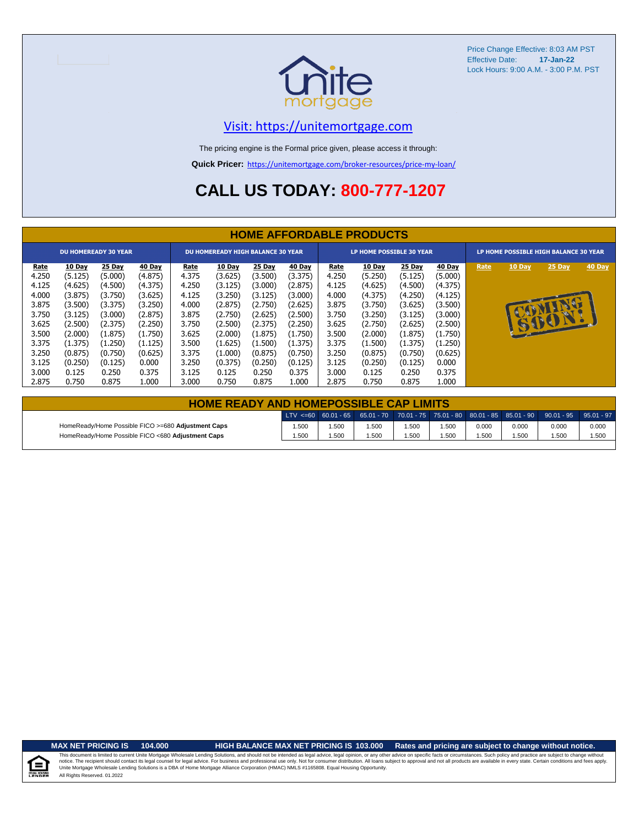

## [V](https://unitemortgage.com/)isit: https://unitemortgage.com

The pricing engine is the Formal price given, please access it through:

**Quick Pricer:** [https://un](https://unitemortgage.com/broker-resources/price-my-loan/)itemortgage.com/broker-resources/price-my-loan/

# **CALL US TODAY: 800-777-1207**

|                                                                                       | <b>HOME AFFORDABLE PRODUCTS</b>                                                                           |                                                                                                           |                                                                                                           |                                                                                       |                                                                                                           |                                                                                                           |                                                                                                                  |                                                                                       |                                                                                                           |                                                                                                           |                                                                                                           |      |               |                                       |        |
|---------------------------------------------------------------------------------------|-----------------------------------------------------------------------------------------------------------|-----------------------------------------------------------------------------------------------------------|-----------------------------------------------------------------------------------------------------------|---------------------------------------------------------------------------------------|-----------------------------------------------------------------------------------------------------------|-----------------------------------------------------------------------------------------------------------|------------------------------------------------------------------------------------------------------------------|---------------------------------------------------------------------------------------|-----------------------------------------------------------------------------------------------------------|-----------------------------------------------------------------------------------------------------------|-----------------------------------------------------------------------------------------------------------|------|---------------|---------------------------------------|--------|
|                                                                                       | <b>DU HOMEREADY 30 YEAR</b>                                                                               |                                                                                                           |                                                                                                           |                                                                                       | <b>DU HOMEREADY HIGH BALANCE 30 YEAR</b>                                                                  |                                                                                                           |                                                                                                                  |                                                                                       | LP HOME POSSIBLE 30 YEAR                                                                                  |                                                                                                           |                                                                                                           |      |               | LP HOME POSSIBLE HIGH BALANCE 30 YEAR |        |
| Rate<br>4.250<br>4.125<br>4.000<br>3.875<br>3.750<br>3.625<br>3.500<br>3.375<br>3.250 | 10 Day<br>(5.125)<br>(4.625)<br>(3.875)<br>(3.500)<br>(3.125)<br>(2.500)<br>(2.000)<br>(1.375)<br>(0.875) | 25 Day<br>(5.000)<br>(4.500)<br>(3.750)<br>(3.375)<br>(3.000)<br>(2.375)<br>(1.875)<br>(1.250)<br>(0.750) | 40 Day<br>(4.875)<br>(4.375)<br>(3.625)<br>(3.250)<br>(2.875)<br>(2.250)<br>(1.750)<br>(1.125)<br>(0.625) | Rate<br>4.375<br>4.250<br>4.125<br>4.000<br>3.875<br>3.750<br>3.625<br>3.500<br>3.375 | 10 Day<br>(3.625)<br>(3.125)<br>(3.250)<br>(2.875)<br>(2.750)<br>(2.500)<br>(2.000)<br>(1.625)<br>(1.000) | 25 Day<br>(3.500)<br>(3.000)<br>(3.125)<br>(2.750)<br>(2.625)<br>(2.375)<br>(1.875)<br>(1.500)<br>(0.875) | 40 <u>Day</u><br>(3.375)<br>(2.875)<br>(3.000)<br>(2.625)<br>(2.500)<br>(2.250)<br>(1.750)<br>(1.375)<br>(0.750) | Rate<br>4.250<br>4.125<br>4.000<br>3.875<br>3.750<br>3.625<br>3.500<br>3.375<br>3.250 | 10 Day<br>(5.250)<br>(4.625)<br>(4.375)<br>(3.750)<br>(3.250)<br>(2.750)<br>(2.000)<br>(1.500)<br>(0.875) | 25 Day<br>(5.125)<br>(4.500)<br>(4.250)<br>(3.625)<br>(3.125)<br>(2.625)<br>(1.875)<br>(1.375)<br>(0.750) | 40 Day<br>(5.000)<br>(4.375)<br>(4.125)<br>(3.500)<br>(3.000)<br>(2.500)<br>(1.750)<br>(1.250)<br>(0.625) | Rate | <b>10 Day</b> | 25 Day<br>6001                        | 40 Day |
| 3.125<br>3.000<br>2.875                                                               | (0.250)<br>0.125<br>0.750                                                                                 | (0.125)<br>0.250<br>0.875                                                                                 | 0.000<br>0.375<br>1.000                                                                                   | 3.250<br>3.125<br>3.000                                                               | (0.375)<br>0.125<br>0.750                                                                                 | (0.250)<br>0.250<br>0.875                                                                                 | (0.125)<br>0.375<br>1.000                                                                                        | 3.125<br>3.000<br>2.875                                                               | (0.250)<br>0.125<br>0.750                                                                                 | (0.125)<br>0.250<br>0.875                                                                                 | 0.000<br>0.375<br>L.000                                                                                   |      |               |                                       |        |

| <b>HOME READY AND HOMEPOSSIBLE CAP LIMITS</b>      |       |      |      |      |       |       |       |                                                                                                  |       |  |  |
|----------------------------------------------------|-------|------|------|------|-------|-------|-------|--------------------------------------------------------------------------------------------------|-------|--|--|
|                                                    |       |      |      |      |       |       |       | LTV <=60 60.01 - 65 65.01 - 70 70.01 - 75 75.01 - 80 80.01 - 85 85.01 - 90 90.01 - 95 95.01 - 97 |       |  |  |
| HomeReady/Home Possible FICO >=680 Adjustment Caps | 1.500 | 500، | .500 | .500 | i.500 | 0.000 | 0.000 | 0.000                                                                                            | 0.000 |  |  |
| HomeReady/Home Possible FICO <680 Adjustment Caps  | 1.500 | .500 | .500 | .500 | 500،، | .500  | 1.500 | 1.500                                                                                            | 1.500 |  |  |

u Hou

## **MAX NET PRICING IS 104.000 HIGH BALANCE MAX NET PRICING IS 103.000 Rates and pricing are subject to change without notice.**

All Rights Reserved. 01.2022 This document is limited to current Unite Mortgage Wholesale Lending Solutions, and should not be intended as legal advice, legal opinion, or any other advice on specific facts or circumstances. Such policy and practice ar notice. The recipient should contact its legal coursel for legal advice. For business and professional use only. Not for consumer distribution. All oans subject to approval and not all products are available in every state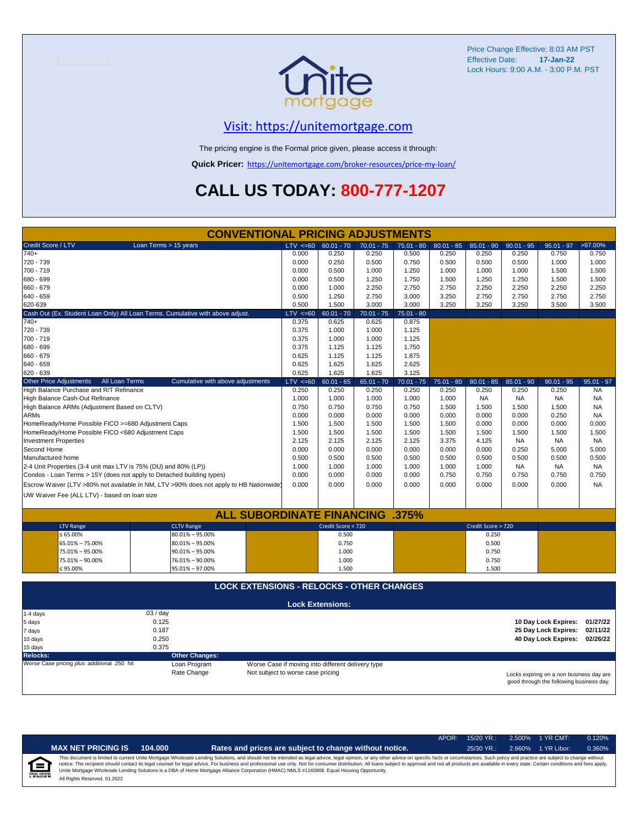

## [V](https://unitemortgage.com/)isit: https://unitemortgage.com

The pricing engine is the Formal price given, please access it through:

**Quick Pricer:** [https://un](https://unitemortgage.com/broker-resources/price-my-loan/)itemortgage.com/broker-resources/price-my-loan/

# **CALL US TODAY: 800-777-1207**

|                                                                                        | <b>CONVENTIONAL PRICING ADJUSTMENTS</b>          |                                   |                                                   |              |              |              |                    |                               |                                          |              |  |
|----------------------------------------------------------------------------------------|--------------------------------------------------|-----------------------------------|---------------------------------------------------|--------------|--------------|--------------|--------------------|-------------------------------|------------------------------------------|--------------|--|
| Credit Score / LTV<br>Loan Terms > 15 years                                            |                                                  | LTV < 60                          | $60.01 - 70$                                      | $70.01 - 75$ | $75.01 - 80$ | $80.01 - 85$ | $85.01 - 90$       | $90.01 - 95$                  | $95.01 - 97$                             | >97.00%      |  |
| $740+$                                                                                 |                                                  | 0.000                             | 0.250                                             | 0.250        | 0.500        | 0.250        | 0.250              | 0.250                         | 0.750                                    | 0.750        |  |
| 720 - 739                                                                              |                                                  | 0.000                             | 0.250                                             | 0.500        | 0.750        | 0.500        | 0.500              | 0.500                         | 1.000                                    | 1.000        |  |
| 700 - 719                                                                              |                                                  | 0.000                             | 0.500                                             | 1.000        | 1.250        | 1.000        | 1.000              | 1.000                         | 1.500                                    | 1.500        |  |
| 680 - 699                                                                              |                                                  | 0.000                             | 0.500                                             | 1.250        | 1.750        | 1.500        | 1.250              | 1.250                         | 1.500                                    | 1.500        |  |
| 660 - 679                                                                              |                                                  | 0.000                             | 1.000                                             | 2.250        | 2.750        | 2.750        | 2.250              | 2.250                         | 2.250                                    | 2.250        |  |
| 640 - 659                                                                              | 0.500                                            | 1.250                             | 2.750                                             | 3.000        | 3.250        | 2.750        | 2.750              | 2.750                         | 2.750                                    |              |  |
| 620-639                                                                                | 0.500                                            | 1.500                             | 3.000                                             | 3.000        | 3.250        | 3.250        | 3.250              | 3.500                         | 3.500                                    |              |  |
| Cash Out (Ex. Student Loan Only) All Loan Terms. Cumulative with above adjust.         |                                                  | $LTV \le 60$                      | $60.01 - 70$                                      | $70.01 - 75$ | $75.01 - 80$ |              |                    |                               |                                          |              |  |
| $740+$                                                                                 |                                                  | 0.375                             | 0.625                                             | 0.625        | 0.875        |              |                    |                               |                                          |              |  |
| 720 - 739                                                                              |                                                  | 0.375                             | 1.000                                             | 1.000        | 1.125        |              |                    |                               |                                          |              |  |
| 700 - 719                                                                              |                                                  | 0.375                             | 1.000                                             | 1.000        | 1.125        |              |                    |                               |                                          |              |  |
| 680 - 699                                                                              |                                                  | 0.375                             | 1.125                                             | 1.125        | 1.750        |              |                    |                               |                                          |              |  |
| 660 - 679                                                                              |                                                  | 0.625                             | 1.125                                             | 1.125        | 1.875        |              |                    |                               |                                          |              |  |
| 640 - 659                                                                              |                                                  | 0.625                             | 1.625                                             | 1.625        | 2.625        |              |                    |                               |                                          |              |  |
| 620 - 639                                                                              |                                                  | 0.625                             | 1.625                                             | 1.625        | 3.125        |              |                    |                               |                                          |              |  |
| <b>Other Price Adjustments</b><br>All Loan Terms                                       | Cumulative with above adjustments                | $LTV \le 60$                      | $60.01 - 65$                                      | $65.01 - 70$ | $70.01 - 75$ | $75.01 - 80$ | $80.01 - 85$       | $85.01 - 90$                  | $90.01 - 95$                             | $95.01 - 97$ |  |
| High Balance Purchase and R/T Refinance                                                |                                                  | 0.250                             | 0.250                                             | 0.250        | 0.250        | 0.250        | 0.250              | 0.250                         | 0.250                                    | <b>NA</b>    |  |
| High Balance Cash-Out Refinance                                                        |                                                  | 1.000                             | 1.000                                             | 1.000        | 1.000        | 1.000        | <b>NA</b>          | <b>NA</b>                     | <b>NA</b>                                | <b>NA</b>    |  |
| High Balance ARMs (Adjustment Based on CLTV)                                           |                                                  | 0.750                             | 0.750                                             | 0.750        | 0.750        | 1.500        | 1.500              | 1.500                         | 1.500                                    | <b>NA</b>    |  |
| ARMs                                                                                   |                                                  | 0.000                             | 0.000                                             | 0.000        | 0.000        | 0.000        | 0.000              | 0.000                         | 0.250                                    | <b>NA</b>    |  |
| HomeReady/Home Possible FICO >=680 Adjustment Caps                                     |                                                  | 1.500                             | 1.500                                             | 1.500        | 1.500        | 1.500        | 0.000              | 0.000                         | 0.000                                    | 0.000        |  |
| HomeReady/Home Possible FICO <680 Adjustment Caps                                      |                                                  | 1.500                             | 1.500                                             | 1.500        | 1.500        | 1.500        | 1.500              | 1.500                         | 1.500                                    | 1.500        |  |
| <b>Investment Properties</b>                                                           |                                                  | 2.125                             | 2.125                                             | 2.125        | 2.125        | 3.375        | 4.125              | <b>NA</b>                     | <b>NA</b>                                | <b>NA</b>    |  |
| Second Home                                                                            |                                                  | 0.000                             | 0.000                                             | 0.000        | 0.000        | 0.000        | 0.000              | 0.250                         | 5.000                                    | 5.000        |  |
| Manufactured home                                                                      |                                                  | 0.500                             | 0.500                                             | 0.500        | 0.500        | 0.500        | 0.500              | 0.500                         | 0.500                                    | 0.500        |  |
| 2-4 Unit Properties (3-4 unit max LTV is 75% (DU) and 80% (LP))                        |                                                  | 1.000                             | 1.000                                             | 1.000        | 1.000        | 1.000        | 1.000              | <b>NA</b>                     | <b>NA</b>                                | NA           |  |
| Condos - Loan Terms > 15Y (does not apply to Detached building types)                  |                                                  | 0.000                             | 0.000                                             | 0.000        | 0.000        | 0.750        | 0.750              | 0.750                         | 0.750                                    | 0.750        |  |
| Escrow Waiver (LTV >80% not available in NM, LTV >90% does not apply to HB Nationwide) |                                                  | 0.000                             | 0.000                                             | 0.000        | 0.000        | 0.000        | 0.000              | 0.000                         | 0.000                                    | <b>NA</b>    |  |
|                                                                                        |                                                  |                                   |                                                   |              |              |              |                    |                               |                                          |              |  |
| UW Waiver Fee (ALL LTV) - based on loan size                                           |                                                  |                                   |                                                   |              |              |              |                    |                               |                                          |              |  |
|                                                                                        |                                                  |                                   |                                                   |              |              |              |                    |                               |                                          |              |  |
|                                                                                        | <b>ALL SUBORDINATE FINANCING .375%</b>           |                                   |                                                   |              |              |              |                    |                               |                                          |              |  |
| <b>LTV Range</b>                                                                       | <b>CLTV Range</b>                                |                                   | Credit Score < 720                                |              |              |              | Credit Score > 720 |                               |                                          |              |  |
| $\leq 65.00\%$                                                                         | $80.01\% - 95.00\%$                              |                                   | 0.500                                             |              |              |              | 0.250              |                               |                                          |              |  |
| 65.01% - 75.00%                                                                        | $80.01\% - 95.00\%$                              |                                   | 0.750                                             |              |              |              | 0.500              |                               |                                          |              |  |
| 75.01% - 95.00%                                                                        | $90.01\% - 95.00\%$                              |                                   | 1.000                                             |              |              |              | 0.750              |                               |                                          |              |  |
| 75.01% - 90.00%                                                                        | 76.01% - 90.00%                                  |                                   | 1.000                                             |              |              |              | 0.750              |                               |                                          |              |  |
| ≤ 95.00%                                                                               | 95.01% - 97.00%                                  |                                   | 1.500                                             |              |              |              | 1.500              |                               |                                          |              |  |
|                                                                                        |                                                  |                                   |                                                   |              |              |              |                    |                               |                                          |              |  |
|                                                                                        | <b>LOCK EXTENSIONS - RELOCKS - OTHER CHANGES</b> |                                   |                                                   |              |              |              |                    |                               |                                          |              |  |
|                                                                                        |                                                  |                                   |                                                   |              |              |              |                    |                               |                                          |              |  |
|                                                                                        |                                                  |                                   | <b>Lock Extensions:</b>                           |              |              |              |                    |                               |                                          |              |  |
| .03/day<br>$1-4$ days                                                                  |                                                  |                                   |                                                   |              |              |              |                    |                               |                                          |              |  |
| 0.125<br>5 days                                                                        |                                                  |                                   |                                                   |              |              |              |                    |                               | 10 Day Lock Expires: 01/27/22            |              |  |
| 0.187<br>7 days                                                                        |                                                  |                                   |                                                   |              |              |              |                    |                               | 25 Day Lock Expires:                     | 02/11/22     |  |
| 0.250<br>10 days                                                                       |                                                  |                                   |                                                   |              |              |              |                    | 40 Day Lock Expires: 02/26/22 |                                          |              |  |
| 0.375<br>15 days                                                                       |                                                  |                                   |                                                   |              |              |              |                    |                               |                                          |              |  |
| <b>Relocks:</b>                                                                        | <b>Other Changes:</b>                            |                                   |                                                   |              |              |              |                    |                               |                                          |              |  |
| Worse Case pricing plus additional .250 hit                                            | Loan Program                                     |                                   | Worse Case if moving into different delivery type |              |              |              |                    |                               |                                          |              |  |
|                                                                                        | Rate Change                                      | Not subject to worse case pricing |                                                   |              |              |              |                    |                               | Locks expiring on a non business day are |              |  |

Locks expiring on a non business day are good through the following business day.

|                           |                              |         |                                                                                                                                                                                                                                                                                                                                                                                                                                                                                                                                                                                                                | $APOR+$ | $15/20$ YR.: | 2.500% 1 YR CMT:   | 0.120% |
|---------------------------|------------------------------|---------|----------------------------------------------------------------------------------------------------------------------------------------------------------------------------------------------------------------------------------------------------------------------------------------------------------------------------------------------------------------------------------------------------------------------------------------------------------------------------------------------------------------------------------------------------------------------------------------------------------------|---------|--------------|--------------------|--------|
|                           | <b>MAX NET PRICING IS</b>    | 104.000 | Rates and prices are subject to change without notice.                                                                                                                                                                                                                                                                                                                                                                                                                                                                                                                                                         |         | $25/30$ YR.: | 2.960% 1 YR Libor: | 0.360% |
| ি<br><b>EQUAL HOUSING</b> | All Rights Reserved, 01.2022 |         | This document is limited to current Unite Mortgage Wholesale Lending Solutions, and should not be intended as legal advice, legal opinion, or any other advice on specific facts or circumstances. Such policy and practice ar<br>notice. The recipient should contact its legal counsel for legal advice. For business and professional use only. Not for consumer distribution. All loans subject to approval and not all products are available in every stat<br>Unite Mortgage Wholesale Lending Solutions is a DBA of Home Mortgage Alliance Corporation (HMAC) NMLS #1165808. Equal Housing Opportunity. |         |              |                    |        |